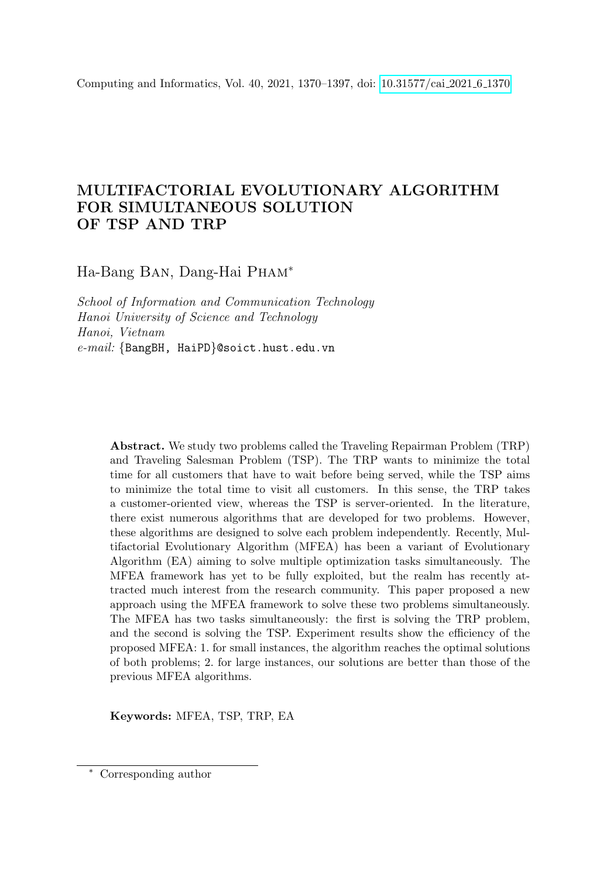Computing and Informatics, Vol. 40, 2021, 1370–1397, doi: [10.31577/cai](https://doi.org/10.31577/cai_2021_6_1370).2021<sub>-6-13</sub>70

# MULTIFACTORIAL EVOLUTIONARY ALGORITHM FOR SIMULTANEOUS SOLUTION OF TSP AND TRP

Ha-Bang Ban, Dang-Hai Pham<sup>∗</sup>

School of Information and Communication Technology Hanoi University of Science and Technology Hanoi, Vietnam e-mail: {BangBH, HaiPD}@soict.hust.edu.vn

> Abstract. We study two problems called the Traveling Repairman Problem (TRP) and Traveling Salesman Problem (TSP). The TRP wants to minimize the total time for all customers that have to wait before being served, while the TSP aims to minimize the total time to visit all customers. In this sense, the TRP takes a customer-oriented view, whereas the TSP is server-oriented. In the literature, there exist numerous algorithms that are developed for two problems. However, these algorithms are designed to solve each problem independently. Recently, Multifactorial Evolutionary Algorithm (MFEA) has been a variant of Evolutionary Algorithm (EA) aiming to solve multiple optimization tasks simultaneously. The MFEA framework has yet to be fully exploited, but the realm has recently attracted much interest from the research community. This paper proposed a new approach using the MFEA framework to solve these two problems simultaneously. The MFEA has two tasks simultaneously: the first is solving the TRP problem, and the second is solving the TSP. Experiment results show the efficiency of the proposed MFEA: 1. for small instances, the algorithm reaches the optimal solutions of both problems; 2. for large instances, our solutions are better than those of the previous MFEA algorithms.

Keywords: MFEA, TSP, TRP, EA

Corresponding author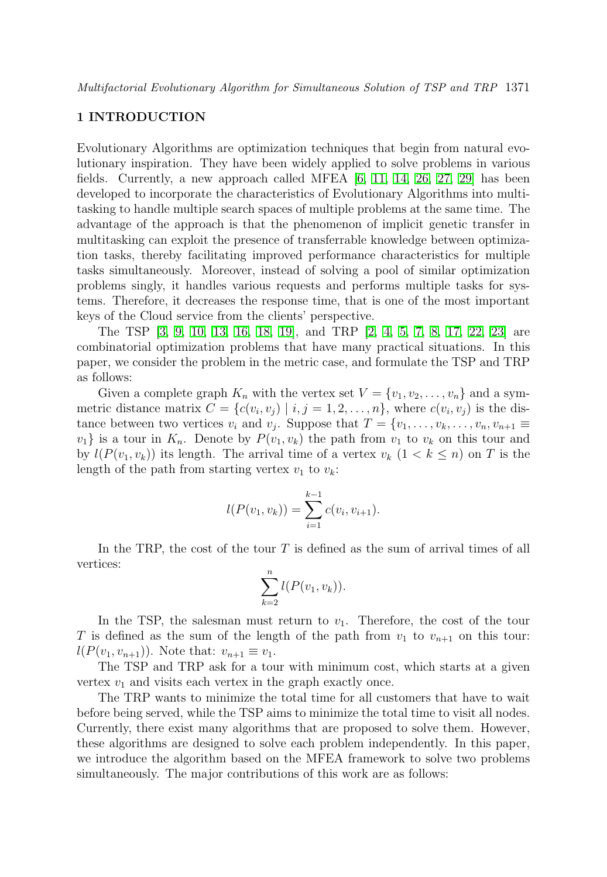# 1 INTRODUCTION

Evolutionary Algorithms are optimization techniques that begin from natural evolutionary inspiration. They have been widely applied to solve problems in various fields. Currently, a new approach called MFEA  $\vert 6, 11, 14, 26, 27, 29 \vert$  $\vert 6, 11, 14, 26, 27, 29 \vert$  $\vert 6, 11, 14, 26, 27, 29 \vert$  $\vert 6, 11, 14, 26, 27, 29 \vert$  $\vert 6, 11, 14, 26, 27, 29 \vert$  $\vert 6, 11, 14, 26, 27, 29 \vert$  has been developed to incorporate the characteristics of Evolutionary Algorithms into multitasking to handle multiple search spaces of multiple problems at the same time. The advantage of the approach is that the phenomenon of implicit genetic transfer in multitasking can exploit the presence of transferrable knowledge between optimization tasks, thereby facilitating improved performance characteristics for multiple tasks simultaneously. Moreover, instead of solving a pool of similar optimization problems singly, it handles various requests and performs multiple tasks for systems. Therefore, it decreases the response time, that is one of the most important keys of the Cloud service from the clients' perspective.

The TSP [\[3,](#page-24-0) [9,](#page-25-3) [10,](#page-25-4) [13,](#page-25-5) [16,](#page-25-6) [18,](#page-25-7) [19\]](#page-26-3), and TRP [\[2,](#page-24-1) [4,](#page-24-2) [5,](#page-24-3) [7,](#page-25-8) [8,](#page-25-9) [17,](#page-25-10) [22,](#page-26-4) [23\]](#page-26-5) are combinatorial optimization problems that have many practical situations. In this paper, we consider the problem in the metric case, and formulate the TSP and TRP as follows:

Given a complete graph  $K_n$  with the vertex set  $V = \{v_1, v_2, \ldots, v_n\}$  and a symmetric distance matrix  $C = \{c(v_i, v_j) \mid i, j = 1, 2, \ldots, n\}$ , where  $c(v_i, v_j)$  is the distance between two vertices  $v_i$  and  $v_j$ . Suppose that  $T = \{v_1, \ldots, v_k, \ldots, v_n, v_{n+1} \equiv$  $v_1$  is a tour in  $K_n$ . Denote by  $P(v_1, v_k)$  the path from  $v_1$  to  $v_k$  on this tour and by  $l(P(v_1, v_k))$  its length. The arrival time of a vertex  $v_k$   $(1 < k \leq n)$  on T is the length of the path from starting vertex  $v_1$  to  $v_k$ :

$$
l(P(v_1, v_k)) = \sum_{i=1}^{k-1} c(v_i, v_{i+1}).
$$

In the TRP, the cost of the tour  $T$  is defined as the sum of arrival times of all vertices:

$$
\sum_{k=2}^n l(P(v_1, v_k)).
$$

In the TSP, the salesman must return to  $v_1$ . Therefore, the cost of the tour T is defined as the sum of the length of the path from  $v_1$  to  $v_{n+1}$  on this tour:  $l(P(v_1, v_{n+1}))$ . Note that:  $v_{n+1} \equiv v_1$ .

The TSP and TRP ask for a tour with minimum cost, which starts at a given vertex  $v_1$  and visits each vertex in the graph exactly once.

The TRP wants to minimize the total time for all customers that have to wait before being served, while the TSP aims to minimize the total time to visit all nodes. Currently, there exist many algorithms that are proposed to solve them. However, these algorithms are designed to solve each problem independently. In this paper, we introduce the algorithm based on the MFEA framework to solve two problems simultaneously. The major contributions of this work are as follows: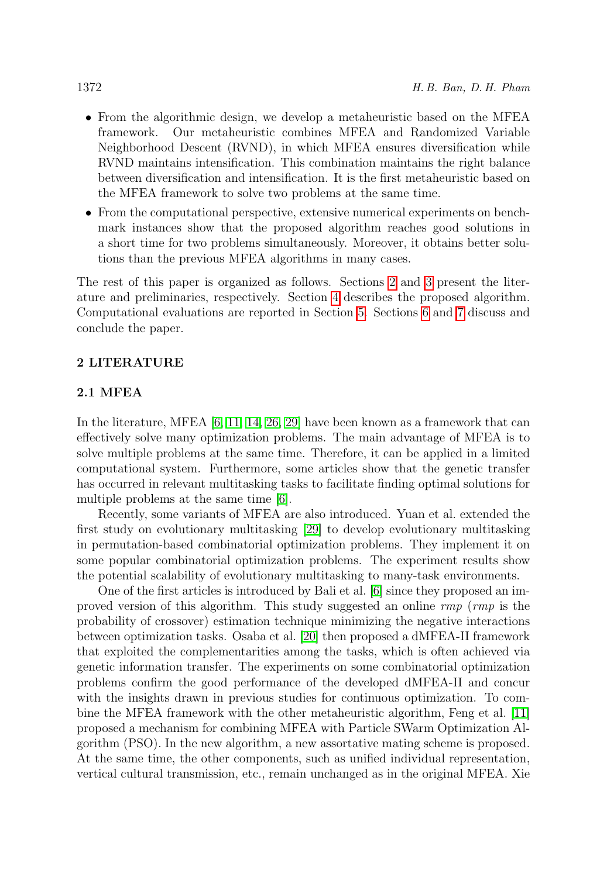- From the algorithmic design, we develop a metaheuristic based on the MFEA framework. Our metaheuristic combines MFEA and Randomized Variable Neighborhood Descent (RVND), in which MFEA ensures diversification while RVND maintains intensification. This combination maintains the right balance between diversification and intensification. It is the first metaheuristic based on the MFEA framework to solve two problems at the same time.
- From the computational perspective, extensive numerical experiments on benchmark instances show that the proposed algorithm reaches good solutions in a short time for two problems simultaneously. Moreover, it obtains better solutions than the previous MFEA algorithms in many cases.

The rest of this paper is organized as follows. Sections [2](#page-2-0) and [3](#page-6-0) present the literature and preliminaries, respectively. Section [4](#page-8-0) describes the proposed algorithm. Computational evaluations are reported in Section [5.](#page-13-0) Sections [6](#page-23-0) and [7](#page-24-4) discuss and conclude the paper.

# <span id="page-2-0"></span>2 LITERATURE

# 2.1 MFEA

In the literature, MFEA [\[6,](#page-25-0) [11,](#page-25-1) [14,](#page-25-2) [26,](#page-26-0) [29\]](#page-26-2) have been known as a framework that can effectively solve many optimization problems. The main advantage of MFEA is to solve multiple problems at the same time. Therefore, it can be applied in a limited computational system. Furthermore, some articles show that the genetic transfer has occurred in relevant multitasking tasks to facilitate finding optimal solutions for multiple problems at the same time [\[6\]](#page-25-0).

Recently, some variants of MFEA are also introduced. Yuan et al. extended the first study on evolutionary multitasking [\[29\]](#page-26-2) to develop evolutionary multitasking in permutation-based combinatorial optimization problems. They implement it on some popular combinatorial optimization problems. The experiment results show the potential scalability of evolutionary multitasking to many-task environments.

One of the first articles is introduced by Bali et al. [\[6\]](#page-25-0) since they proposed an improved version of this algorithm. This study suggested an online rmp (rmp is the probability of crossover) estimation technique minimizing the negative interactions between optimization tasks. Osaba et al. [\[20\]](#page-26-6) then proposed a dMFEA-II framework that exploited the complementarities among the tasks, which is often achieved via genetic information transfer. The experiments on some combinatorial optimization problems confirm the good performance of the developed dMFEA-II and concur with the insights drawn in previous studies for continuous optimization. To combine the MFEA framework with the other metaheuristic algorithm, Feng et al. [\[11\]](#page-25-1) proposed a mechanism for combining MFEA with Particle SWarm Optimization Algorithm (PSO). In the new algorithm, a new assortative mating scheme is proposed. At the same time, the other components, such as unified individual representation, vertical cultural transmission, etc., remain unchanged as in the original MFEA. Xie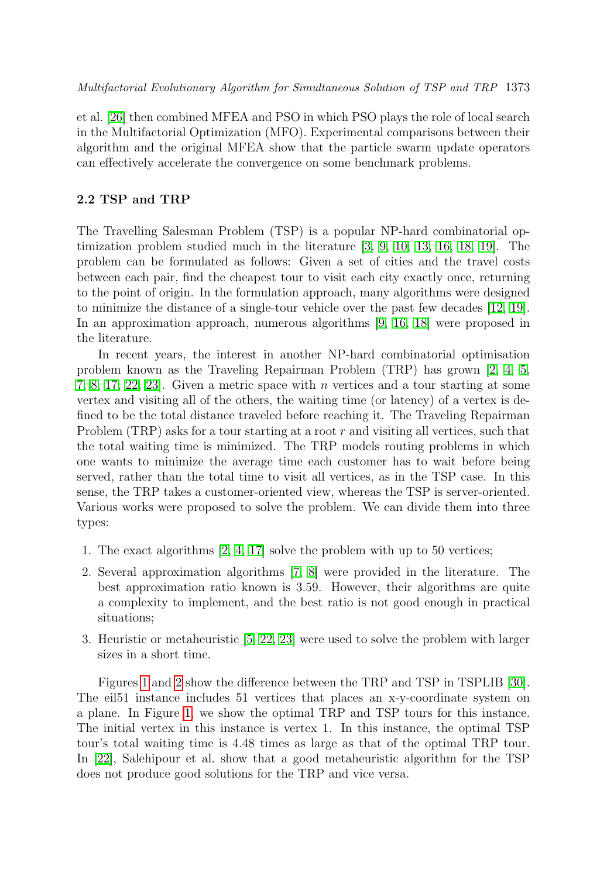et al. [\[26\]](#page-26-0) then combined MFEA and PSO in which PSO plays the role of local search in the Multifactorial Optimization (MFO). Experimental comparisons between their algorithm and the original MFEA show that the particle swarm update operators can effectively accelerate the convergence on some benchmark problems.

# 2.2 TSP and TRP

The Travelling Salesman Problem (TSP) is a popular NP-hard combinatorial optimization problem studied much in the literature [\[3,](#page-24-0) [9,](#page-25-3) [10,](#page-25-4) [13,](#page-25-5) [16,](#page-25-6) [18,](#page-25-7) [19\]](#page-26-3). The problem can be formulated as follows: Given a set of cities and the travel costs between each pair, find the cheapest tour to visit each city exactly once, returning to the point of origin. In the formulation approach, many algorithms were designed to minimize the distance of a single-tour vehicle over the past few decades [\[12,](#page-25-11) [19\]](#page-26-3). In an approximation approach, numerous algorithms [\[9,](#page-25-3) [16,](#page-25-6) [18\]](#page-25-7) were proposed in the literature.

In recent years, the interest in another NP-hard combinatorial optimisation problem known as the Traveling Repairman Problem (TRP) has grown [\[2,](#page-24-1) [4,](#page-24-2) [5,](#page-24-3) [7,](#page-25-8) [8,](#page-25-9) [17,](#page-25-10) [22,](#page-26-4) [23\]](#page-26-5). Given a metric space with n vertices and a tour starting at some vertex and visiting all of the others, the waiting time (or latency) of a vertex is defined to be the total distance traveled before reaching it. The Traveling Repairman Problem  $(TRP)$  asks for a tour starting at a root r and visiting all vertices, such that the total waiting time is minimized. The TRP models routing problems in which one wants to minimize the average time each customer has to wait before being served, rather than the total time to visit all vertices, as in the TSP case. In this sense, the TRP takes a customer-oriented view, whereas the TSP is server-oriented. Various works were proposed to solve the problem. We can divide them into three types:

- 1. The exact algorithms [\[2,](#page-24-1) [4,](#page-24-2) [17\]](#page-25-10) solve the problem with up to 50 vertices;
- 2. Several approximation algorithms [\[7,](#page-25-8) [8\]](#page-25-9) were provided in the literature. The best approximation ratio known is 3.59. However, their algorithms are quite a complexity to implement, and the best ratio is not good enough in practical situations;
- 3. Heuristic or metaheuristic [\[5,](#page-24-3) [22,](#page-26-4) [23\]](#page-26-5) were used to solve the problem with larger sizes in a short time.

Figures [1](#page-4-0) and [2](#page-5-0) show the difference between the TRP and TSP in TSPLIB [\[30\]](#page-26-7). The eil51 instance includes 51 vertices that places an x-y-coordinate system on a plane. In Figure [1,](#page-4-0) we show the optimal TRP and TSP tours for this instance. The initial vertex in this instance is vertex 1. In this instance, the optimal TSP tour's total waiting time is 4.48 times as large as that of the optimal TRP tour. In [\[22\]](#page-26-4), Salehipour et al. show that a good metaheuristic algorithm for the TSP does not produce good solutions for the TRP and vice versa.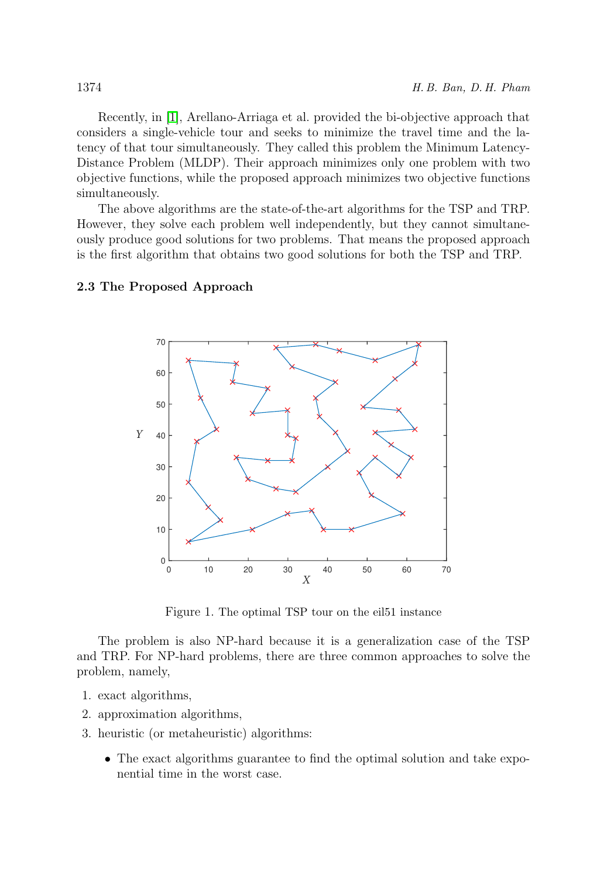Recently, in [\[1\]](#page-24-5), Arellano-Arriaga et al. provided the bi-objective approach that considers a single-vehicle tour and seeks to minimize the travel time and the latency of that tour simultaneously. They called this problem the Minimum Latency-Distance Problem (MLDP). Their approach minimizes only one problem with two objective functions, while the proposed approach minimizes two objective functions simultaneously.

The above algorithms are the state-of-the-art algorithms for the TSP and TRP. However, they solve each problem well independently, but they cannot simultaneously produce good solutions for two problems. That means the proposed approach is the first algorithm that obtains two good solutions for both the TSP and TRP.

# 0 10 20 30 40 50 60 70  $0\frac{L}{0}$ 10 20 30 40 50 60 70 *X Y*

#### 2.3 The Proposed Approach

<span id="page-4-0"></span>Figure 1. The optimal TSP tour on the eil51 instance

The problem is also NP-hard because it is a generalization case of the TSP and TRP. For NP-hard problems, there are three common approaches to solve the problem, namely,

- 1. exact algorithms,
- 2. approximation algorithms,
- 3. heuristic (or metaheuristic) algorithms:
	- The exact algorithms guarantee to find the optimal solution and take exponential time in the worst case.

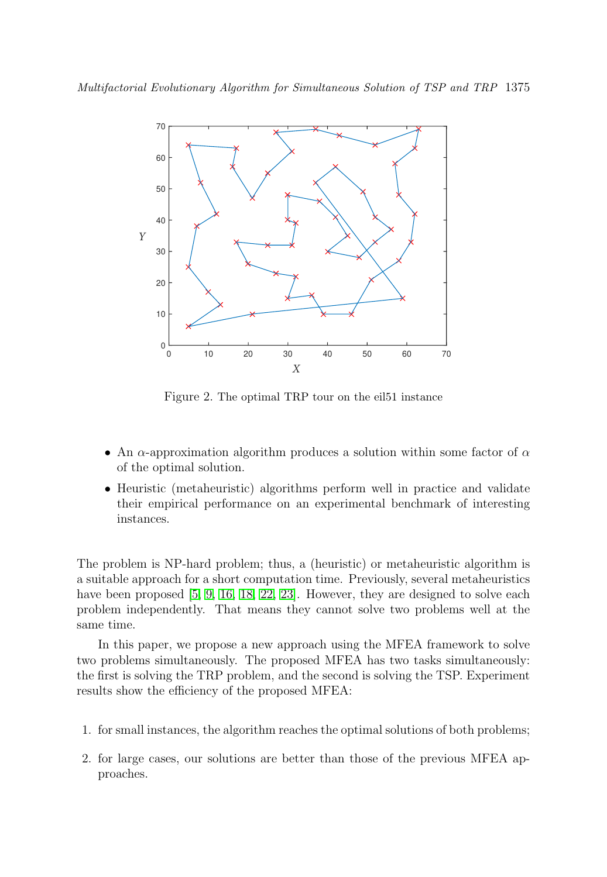

<span id="page-5-0"></span>Figure 2. The optimal TRP tour on the eil51 instance

- An  $\alpha$ -approximation algorithm produces a solution within some factor of  $\alpha$ of the optimal solution.
- Heuristic (metaheuristic) algorithms perform well in practice and validate their empirical performance on an experimental benchmark of interesting instances.

The problem is NP-hard problem; thus, a (heuristic) or metaheuristic algorithm is a suitable approach for a short computation time. Previously, several metaheuristics have been proposed [\[5,](#page-24-3) [9,](#page-25-3) [16,](#page-25-6) [18,](#page-25-7) [22,](#page-26-4) [23\]](#page-26-5). However, they are designed to solve each problem independently. That means they cannot solve two problems well at the same time.

In this paper, we propose a new approach using the MFEA framework to solve two problems simultaneously. The proposed MFEA has two tasks simultaneously: the first is solving the TRP problem, and the second is solving the TSP. Experiment results show the efficiency of the proposed MFEA:

- 1. for small instances, the algorithm reaches the optimal solutions of both problems;
- 2. for large cases, our solutions are better than those of the previous MFEA approaches.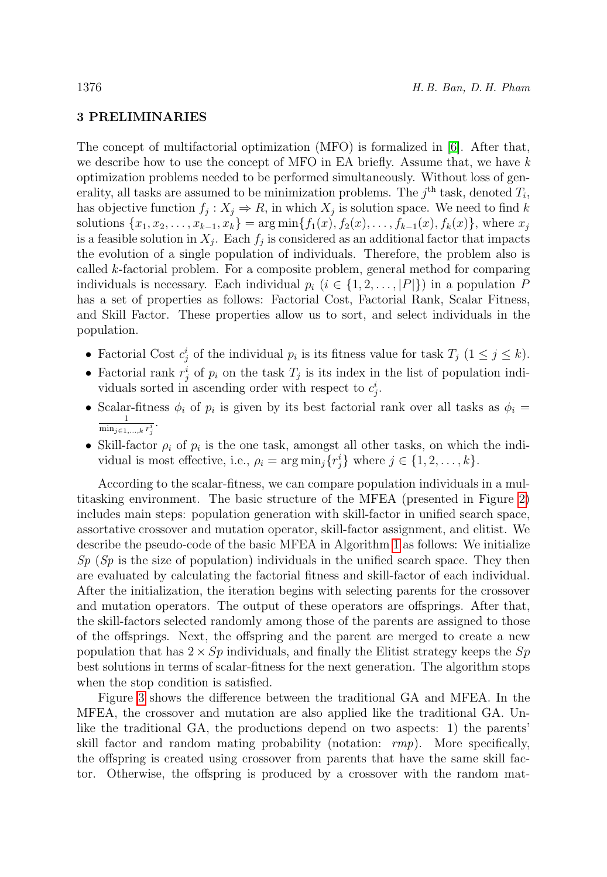# <span id="page-6-0"></span>3 PRELIMINARIES

The concept of multifactorial optimization (MFO) is formalized in [\[6\]](#page-25-0). After that, we describe how to use the concept of MFO in EA briefly. Assume that, we have  $k$ optimization problems needed to be performed simultaneously. Without loss of generality, all tasks are assumed to be minimization problems. The  $j<sup>th</sup>$  task, denoted  $T_i$ , has objective function  $f_j: X_j \to R$ , in which  $X_j$  is solution space. We need to find k solutions  $\{x_1, x_2, \ldots, x_{k-1}, x_k\} = \arg \min \{f_1(x), f_2(x), \ldots, f_{k-1}(x), f_k(x)\},$  where  $x_j$ is a feasible solution in  $X_j$ . Each  $f_j$  is considered as an additional factor that impacts the evolution of a single population of individuals. Therefore, the problem also is called k-factorial problem. For a composite problem, general method for comparing individuals is necessary. Each individual  $p_i$  ( $i \in \{1, 2, ..., |P|\}$ ) in a population P has a set of properties as follows: Factorial Cost, Factorial Rank, Scalar Fitness, and Skill Factor. These properties allow us to sort, and select individuals in the population.

- Factorial Cost  $c_j^i$  of the individual  $p_i$  is its fitness value for task  $T_j$   $(1 \leq j \leq k)$ .
- Factorial rank  $r_j^i$  of  $p_i$  on the task  $T_j$  is its index in the list of population individuals sorted in ascending order with respect to  $c_j^i$ .
- Scalar-fitness  $\phi_i$  of  $p_i$  is given by its best factorial rank over all tasks as  $\phi_i =$  $\frac{1}{\min_{j\in{1,...,k}}r_j^i}.$
- Skill-factor  $\rho_i$  of  $p_i$  is the one task, amongst all other tasks, on which the individual is most effective, i.e.,  $\rho_i = \arg \min_j \{r_j^i\}$  where  $j \in \{1, 2, ..., k\}$ .

According to the scalar-fitness, we can compare population individuals in a multitasking environment. The basic structure of the MFEA (presented in Figure [2\)](#page-5-0) includes main steps: population generation with skill-factor in unified search space, assortative crossover and mutation operator, skill-factor assignment, and elitist. We describe the pseudo-code of the basic MFEA in Algorithm [1](#page-9-0) as follows: We initialize  $Sp(Sp)$  is the size of population) individuals in the unified search space. They then are evaluated by calculating the factorial fitness and skill-factor of each individual. After the initialization, the iteration begins with selecting parents for the crossover and mutation operators. The output of these operators are offsprings. After that, the skill-factors selected randomly among those of the parents are assigned to those of the offsprings. Next, the offspring and the parent are merged to create a new population that has  $2 \times Sp$  individuals, and finally the Elitist strategy keeps the  $Sp$ best solutions in terms of scalar-fitness for the next generation. The algorithm stops when the stop condition is satisfied.

Figure [3](#page-7-0) shows the difference between the traditional GA and MFEA. In the MFEA, the crossover and mutation are also applied like the traditional GA. Unlike the traditional GA, the productions depend on two aspects: 1) the parents' skill factor and random mating probability (notation: rmp). More specifically, the offspring is created using crossover from parents that have the same skill factor. Otherwise, the offspring is produced by a crossover with the random mat-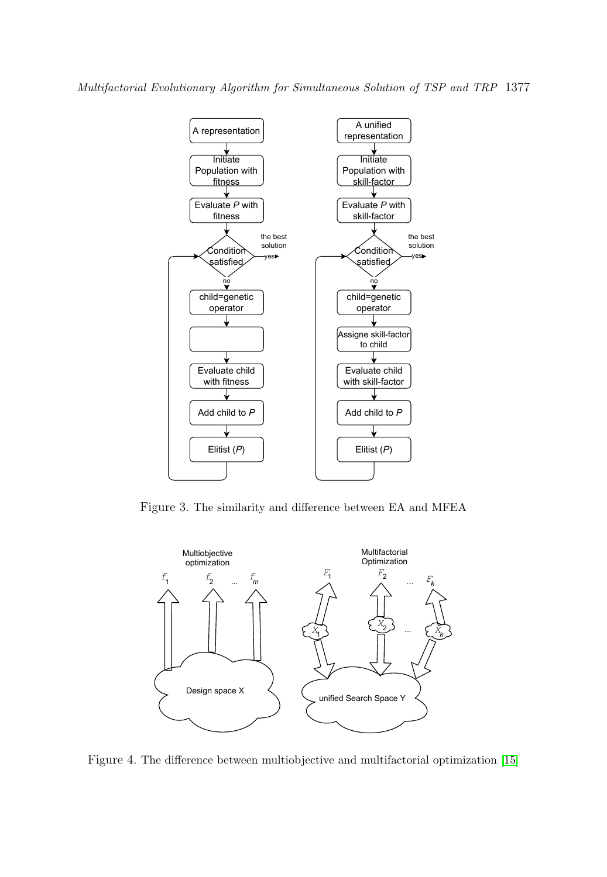

<span id="page-7-0"></span>Figure 3. The similarity and difference between EA and MFEA

<span id="page-7-1"></span>

Figure 4. The difference between multiobjective and multifactorial optimization [\[15\]](#page-25-12)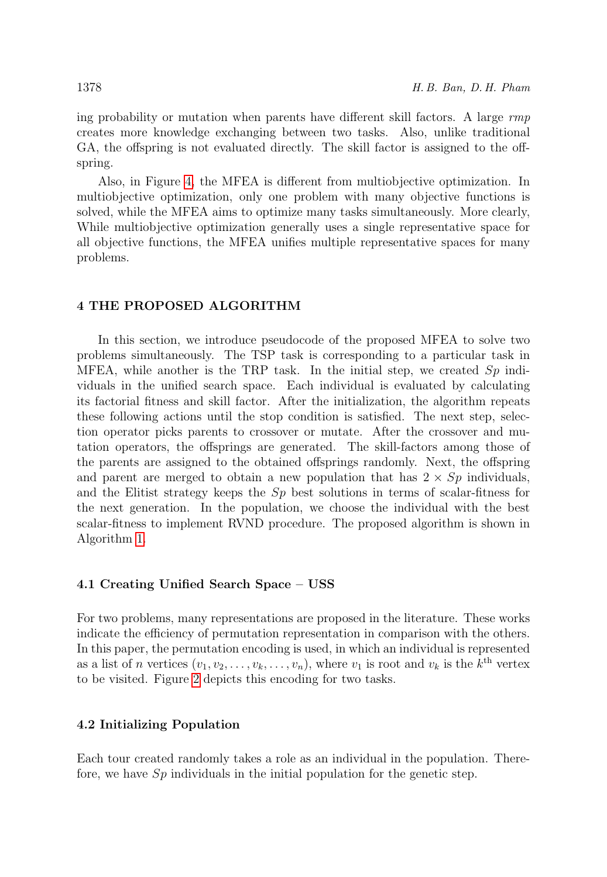ing probability or mutation when parents have different skill factors. A large  $rmp$ creates more knowledge exchanging between two tasks. Also, unlike traditional GA, the offspring is not evaluated directly. The skill factor is assigned to the offspring.

Also, in Figure [4,](#page-7-1) the MFEA is different from multiobjective optimization. In multiobjective optimization, only one problem with many objective functions is solved, while the MFEA aims to optimize many tasks simultaneously. More clearly, While multiobjective optimization generally uses a single representative space for all objective functions, the MFEA unifies multiple representative spaces for many problems.

#### <span id="page-8-0"></span>4 THE PROPOSED ALGORITHM

In this section, we introduce pseudocode of the proposed MFEA to solve two problems simultaneously. The TSP task is corresponding to a particular task in MFEA, while another is the TRP task. In the initial step, we created  $Sp$  individuals in the unified search space. Each individual is evaluated by calculating its factorial fitness and skill factor. After the initialization, the algorithm repeats these following actions until the stop condition is satisfied. The next step, selection operator picks parents to crossover or mutate. After the crossover and mutation operators, the offsprings are generated. The skill-factors among those of the parents are assigned to the obtained offsprings randomly. Next, the offspring and parent are merged to obtain a new population that has  $2 \times Sp$  individuals, and the Elitist strategy keeps the  $Sp$  best solutions in terms of scalar-fitness for the next generation. In the population, we choose the individual with the best scalar-fitness to implement RVND procedure. The proposed algorithm is shown in Algorithm [1.](#page-9-0)

#### 4.1 Creating Unified Search Space – USS

For two problems, many representations are proposed in the literature. These works indicate the efficiency of permutation representation in comparison with the others. In this paper, the permutation encoding is used, in which an individual is represented as a list of n vertices  $(v_1, v_2, \ldots, v_k, \ldots, v_n)$ , where  $v_1$  is root and  $v_k$  is the  $k^{\text{th}}$  vertex to be visited. Figure [2](#page-5-0) depicts this encoding for two tasks.

#### 4.2 Initializing Population

Each tour created randomly takes a role as an individual in the population. Therefore, we have  $Sp$  individuals in the initial population for the genetic step.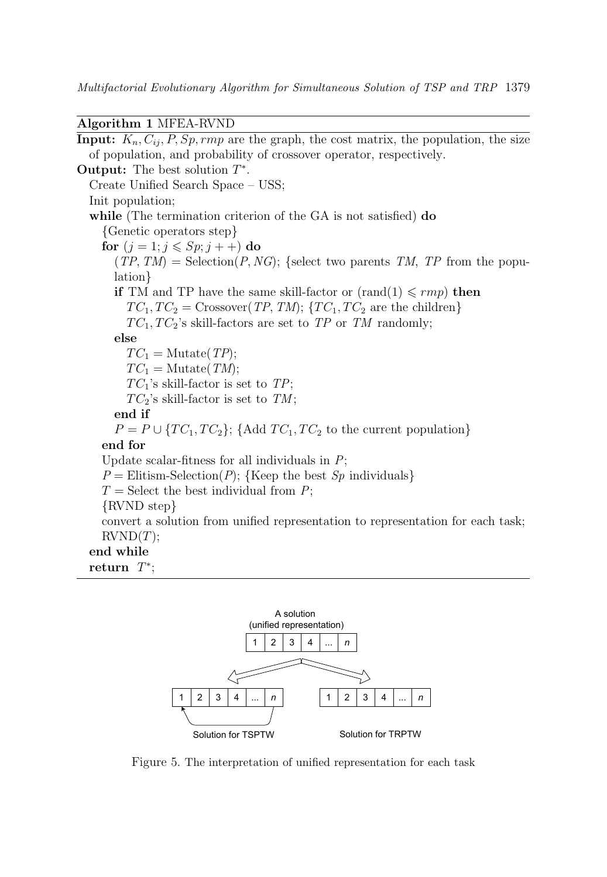Multifactorial Evolutionary Algorithm for Simultaneous Solution of TSP and TRP 1379

Algorithm 1 MFEA-RVND

<span id="page-9-0"></span>**Input:**  $K_n, C_{ij}, P, Sp, rmp$  are the graph, the cost matrix, the population, the size of population, and probability of crossover operator, respectively. **Output:** The best solution  $T^*$ . Create Unified Search Space – USS; Init population; while (The termination criterion of the GA is not satisfied) do {Genetic operators step} for  $(j = 1; j \leqslant Sp; j++)$  do  $(TP, TM) = \text{Selection}(P, NG);$  {select two parents TM, TP from the population} if TM and TP have the same skill-factor or  $(rand(1) \leq rmp)$  then  $TC_1, TC_2 = Crossover(TP, TM);$  { $TC_1, TC_2$  are the children}  $TC_1, TC_2$ 's skill-factors are set to TP or TM randomly; else  $TC_1 = \text{Mutate}(TP);$  $TC_1 = \text{Mutate}(TM);$  $TC_1$ 's skill-factor is set to TP;  $TC_2$ 's skill-factor is set to TM; end if  $P = P \cup \{TC_1, TC_2\}; \{\text{Add } TC_1, TC_2 \text{ to the current population}\}\$ end for Update scalar-fitness for all individuals in  $P$ ;  $P =$  Elitism-Selection(P); {Keep the best  $Sp$  individuals}  $T =$  Select the best individual from P; {RVND step} convert a solution from unified representation to representation for each task;  $RVND(T);$ end while return  $T^*$ ;



Figure 5. The interpretation of unified representation for each task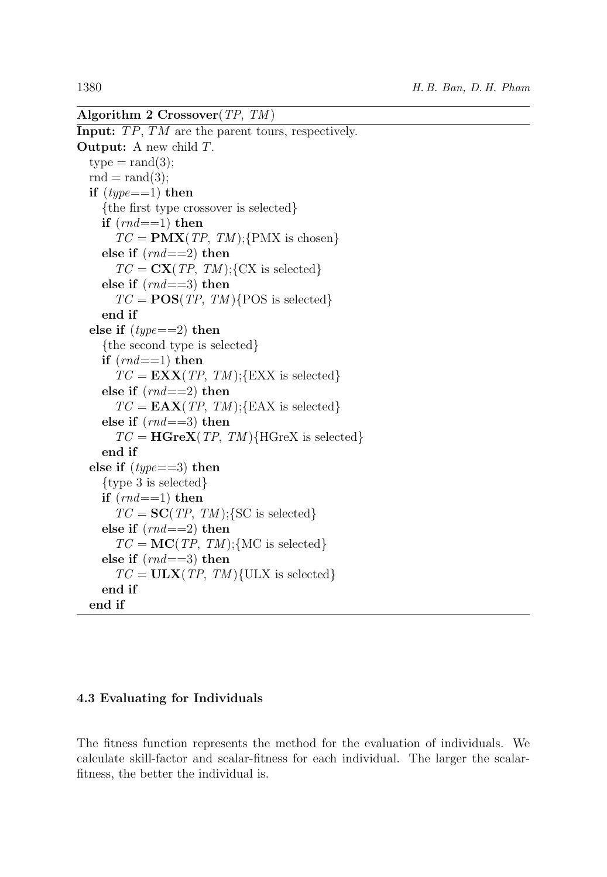```
Algorithm 2 Crossover(TP, TM )
Input: TP, TM are the parent tours, respectively.
Output: A new child T.
  type = rand(3);rnd = rand(3);
  if (type == 1) then
     {the first type crossover is selected}
    if (rnd == 1) then
       TC = PMX(TP, TM);{PMX is chosen}
    else if (md == 2) then
       TC = \mathbf{CX}(TP, TM);{CX is selected}
    else if (md==3) then
       TC = POS(TP, TM){POS is selected}
    end if
  else if (type == 2) then
    {the second type is selected}
    if (rnd == 1) then
       TC = EXX(TP, TM);{EXX is selected}
    else if (rnd == 2) then
       TC = \mathbf{EAX}(TP, TM);{EAX is selected}
    else if (rnd == 3) then
       TC = \mathbf{H} \mathbf{G} \mathbf{r} \mathbf{e} \mathbf{X} (TP, TM) \{ \text{H} \text{G} \text{r} \mathbf{e} \mathbf{X} \} is selected}
    end if
  else if (type == 3) then
    {type 3 is selected}
    if (rnd == 1) then
       TC = SC(TP, TM);{SC is selected}
    else if (md == 2) then
       TC = \textbf{MC}(TP, TM);{MC is selected}
    else if (rnd == 3) then
       TC = ULX(TP, TM){U LX is selected}end if
  end if
```
# 4.3 Evaluating for Individuals

The fitness function represents the method for the evaluation of individuals. We calculate skill-factor and scalar-fitness for each individual. The larger the scalarfitness, the better the individual is.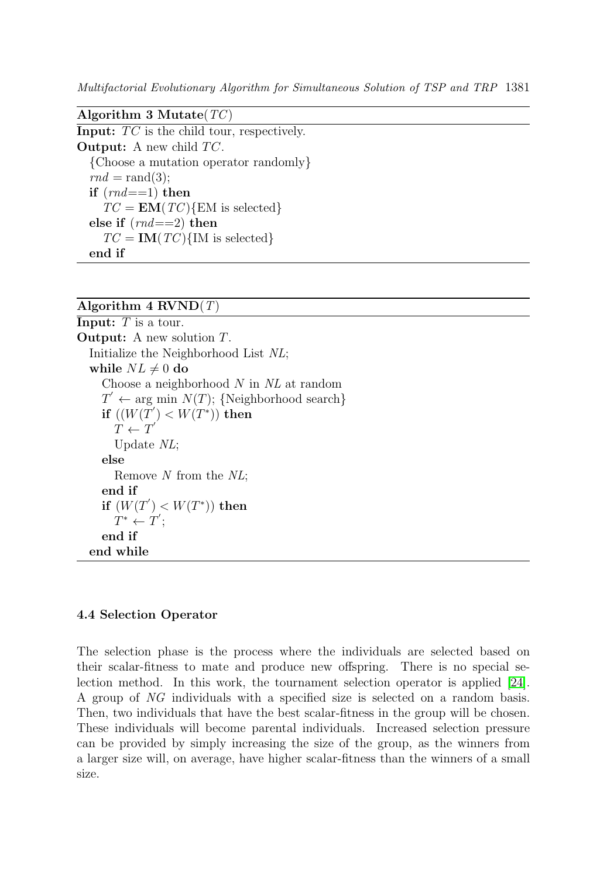Multifactorial Evolutionary Algorithm for Simultaneous Solution of TSP and TRP 1381

<span id="page-11-0"></span>Algorithm 3 Mutate( $TC$ ) **Input:**  $TC$  is the child tour, respectively. **Output:** A new child  $TC$ . {Choose a mutation operator randomly}  $rnd = rand(3)$ ; if  $(rnd == 1)$  then  $TC = EM(TC)$ {EM is selected} else if  $(rnd == 2)$  then  $TC = IM(TC){M$  is selected end if

# Algorithm  $4$  RVND $(T)$

<span id="page-11-1"></span>**Input:**  $T$  is a tour. Output: A new solution T. Initialize the Neighborhood List NL; while  $NL \neq 0$  do Choose a neighborhood  $N$  in  $NL$  at random  $T' \leftarrow \text{arg min } N(T)$ ; {Neighborhood search} if  $((W(T^{'}) \lt W(T^*))$  then  $T \leftarrow T'$ Update NL; else Remove N from the NL; end if if  $(W(T^{'}) < W(T^{*}))$  then  $T^* \leftarrow T';$ end if end while

#### 4.4 Selection Operator

The selection phase is the process where the individuals are selected based on their scalar-fitness to mate and produce new offspring. There is no special selection method. In this work, the tournament selection operator is applied [\[24\]](#page-26-8). A group of NG individuals with a specified size is selected on a random basis. Then, two individuals that have the best scalar-fitness in the group will be chosen. These individuals will become parental individuals. Increased selection pressure can be provided by simply increasing the size of the group, as the winners from a larger size will, on average, have higher scalar-fitness than the winners of a small size.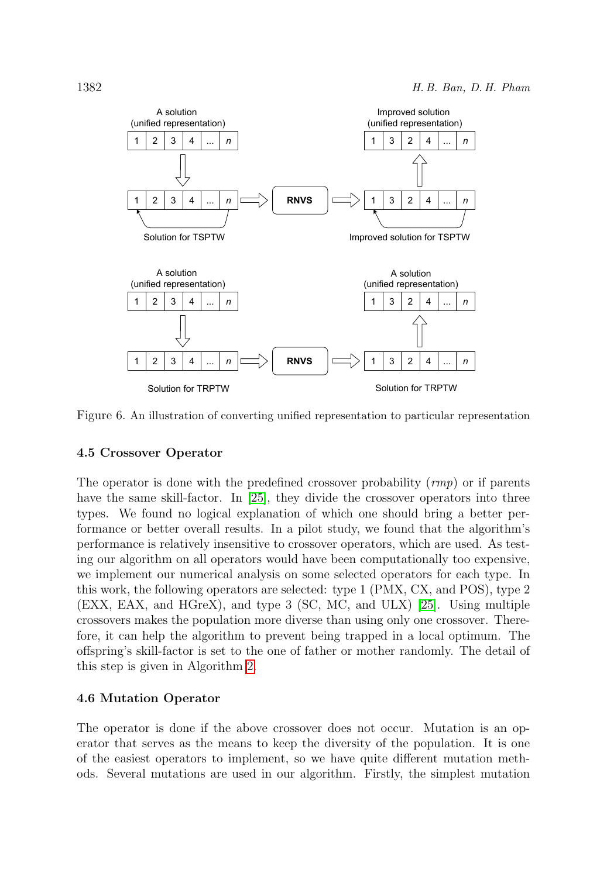

Figure 6. An illustration of converting unified representation to particular representation

#### 4.5 Crossover Operator

The operator is done with the predefined crossover probability  $(rmp)$  or if parents have the same skill-factor. In [\[25\]](#page-26-9), they divide the crossover operators into three types. We found no logical explanation of which one should bring a better performance or better overall results. In a pilot study, we found that the algorithm's performance is relatively insensitive to crossover operators, which are used. As testing our algorithm on all operators would have been computationally too expensive, we implement our numerical analysis on some selected operators for each type. In this work, the following operators are selected: type 1 (PMX, CX, and POS), type 2 (EXX, EAX, and HGreX), and type 3 (SC, MC, and ULX) [\[25\]](#page-26-9). Using multiple crossovers makes the population more diverse than using only one crossover. Therefore, it can help the algorithm to prevent being trapped in a local optimum. The offspring's skill-factor is set to the one of father or mother randomly. The detail of this step is given in Algorithm [2.](#page-10-0)

#### 4.6 Mutation Operator

The operator is done if the above crossover does not occur. Mutation is an operator that serves as the means to keep the diversity of the population. It is one of the easiest operators to implement, so we have quite different mutation methods. Several mutations are used in our algorithm. Firstly, the simplest mutation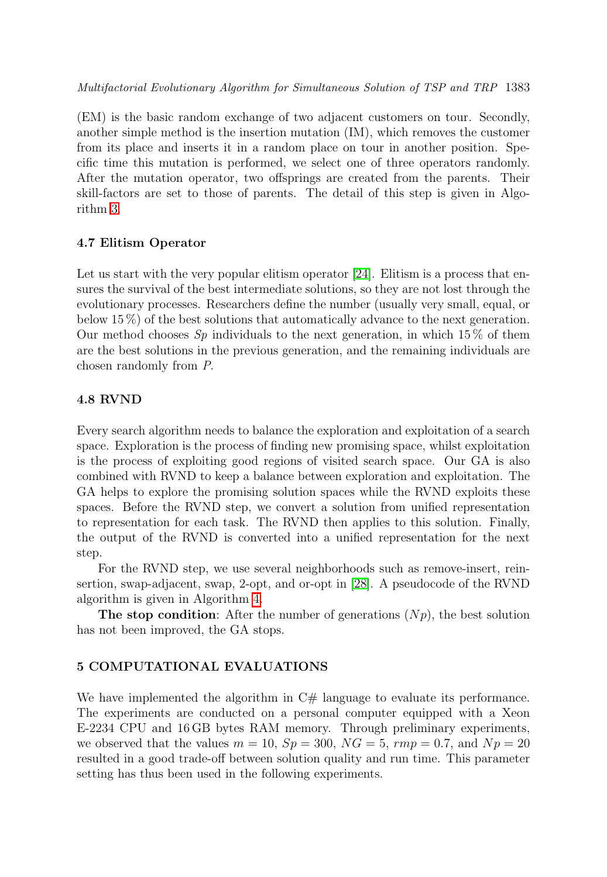(EM) is the basic random exchange of two adjacent customers on tour. Secondly, another simple method is the insertion mutation (IM), which removes the customer from its place and inserts it in a random place on tour in another position. Specific time this mutation is performed, we select one of three operators randomly. After the mutation operator, two offsprings are created from the parents. Their skill-factors are set to those of parents. The detail of this step is given in Algorithm [3.](#page-11-0)

#### 4.7 Elitism Operator

Let us start with the very popular elitism operator [\[24\]](#page-26-8). Elitism is a process that ensures the survival of the best intermediate solutions, so they are not lost through the evolutionary processes. Researchers define the number (usually very small, equal, or below 15 %) of the best solutions that automatically advance to the next generation. Our method chooses  $Sp$  individuals to the next generation, in which 15% of them are the best solutions in the previous generation, and the remaining individuals are chosen randomly from P.

# 4.8 RVND

Every search algorithm needs to balance the exploration and exploitation of a search space. Exploration is the process of finding new promising space, whilst exploitation is the process of exploiting good regions of visited search space. Our GA is also combined with RVND to keep a balance between exploration and exploitation. The GA helps to explore the promising solution spaces while the RVND exploits these spaces. Before the RVND step, we convert a solution from unified representation to representation for each task. The RVND then applies to this solution. Finally, the output of the RVND is converted into a unified representation for the next step.

For the RVND step, we use several neighborhoods such as remove-insert, reinsertion, swap-adjacent, swap, 2-opt, and or-opt in [\[28\]](#page-26-10). A pseudocode of the RVND algorithm is given in Algorithm [4.](#page-11-1)

**The stop condition:** After the number of generations  $(Np)$ , the best solution has not been improved, the GA stops.

# <span id="page-13-0"></span>5 COMPUTATIONAL EVALUATIONS

We have implemented the algorithm in  $C#$  language to evaluate its performance. The experiments are conducted on a personal computer equipped with a Xeon E-2234 CPU and 16 GB bytes RAM memory. Through preliminary experiments, we observed that the values  $m = 10$ ,  $Sp = 300$ ,  $NG = 5$ ,  $rmp = 0.7$ , and  $Np = 20$ resulted in a good trade-off between solution quality and run time. This parameter setting has thus been used in the following experiments.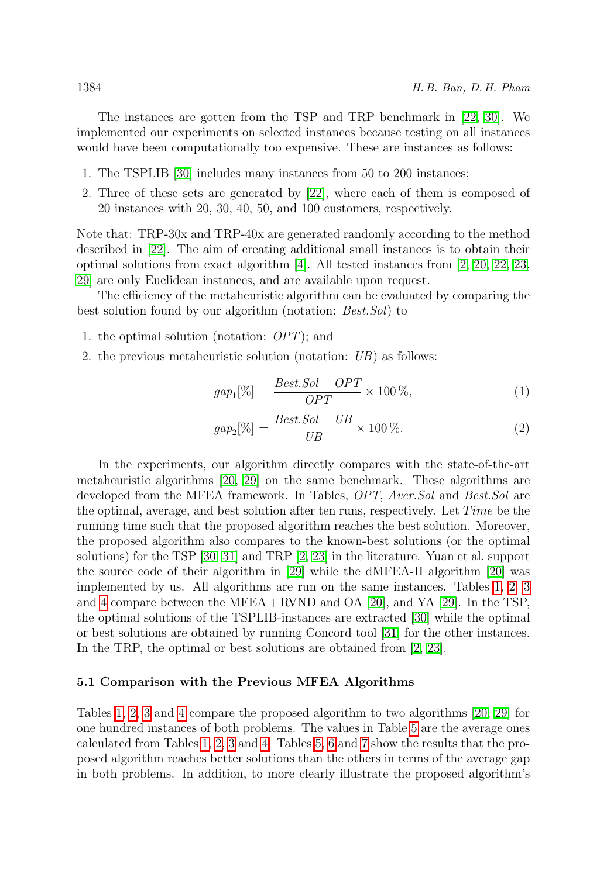The instances are gotten from the TSP and TRP benchmark in [\[22,](#page-26-4) [30\]](#page-26-7). We implemented our experiments on selected instances because testing on all instances would have been computationally too expensive. These are instances as follows:

- 1. The TSPLIB [\[30\]](#page-26-7) includes many instances from 50 to 200 instances;
- 2. Three of these sets are generated by [\[22\]](#page-26-4), where each of them is composed of 20 instances with 20, 30, 40, 50, and 100 customers, respectively.

Note that: TRP-30x and TRP-40x are generated randomly according to the method described in [\[22\]](#page-26-4). The aim of creating additional small instances is to obtain their optimal solutions from exact algorithm  $|4|$ . All tested instances from  $|2, 20, 22, 23,$  $|2, 20, 22, 23,$  $|2, 20, 22, 23,$  $|2, 20, 22, 23,$ [29\]](#page-26-2) are only Euclidean instances, and are available upon request.

The efficiency of the metaheuristic algorithm can be evaluated by comparing the best solution found by our algorithm (notation: *Best.Sol*) to

- 1. the optimal solution (notation: OPT); and
- 2. the previous metaheuristic solution (notation: UB) as follows:

$$
gap_1[\%] = \frac{Best.Sol - OPT}{OPT} \times 100\%,\tag{1}
$$

$$
gap_2[\%] = \frac{Best.Sol - UB}{UB} \times 100\%.\tag{2}
$$

In the experiments, our algorithm directly compares with the state-of-the-art metaheuristic algorithms [\[20,](#page-26-6) [29\]](#page-26-2) on the same benchmark. These algorithms are developed from the MFEA framework. In Tables, OPT, Aver.Sol and Best.Sol are the optimal, average, and best solution after ten runs, respectively. Let  $Time$  be the running time such that the proposed algorithm reaches the best solution. Moreover, the proposed algorithm also compares to the known-best solutions (or the optimal solutions) for the TSP [\[30,](#page-26-7) [31\]](#page-26-11) and TRP [\[2,](#page-24-1) [23\]](#page-26-5) in the literature. Yuan et al. support the source code of their algorithm in [\[29\]](#page-26-2) while the dMFEA-II algorithm [\[20\]](#page-26-6) was implemented by us. All algorithms are run on the same instances. Tables [1,](#page-15-0) [2,](#page-16-0) [3](#page-17-0) and [4](#page-18-0) compare between the MFEA + RVND and OA  $[20]$ , and YA  $[29]$ . In the TSP, the optimal solutions of the TSPLIB-instances are extracted [\[30\]](#page-26-7) while the optimal or best solutions are obtained by running Concord tool [\[31\]](#page-26-11) for the other instances. In the TRP, the optimal or best solutions are obtained from [\[2,](#page-24-1) [23\]](#page-26-5).

#### 5.1 Comparison with the Previous MFEA Algorithms

Tables [1,](#page-15-0) [2,](#page-16-0) [3](#page-17-0) and [4](#page-18-0) compare the proposed algorithm to two algorithms [\[20,](#page-26-6) [29\]](#page-26-2) for one hundred instances of both problems. The values in Table [5](#page-19-0) are the average ones calculated from Tables [1,](#page-15-0) [2,](#page-16-0) [3](#page-17-0) and [4.](#page-18-0) Tables [5,](#page-19-0) [6](#page-19-1) and [7](#page-19-2) show the results that the proposed algorithm reaches better solutions than the others in terms of the average gap in both problems. In addition, to more clearly illustrate the proposed algorithm's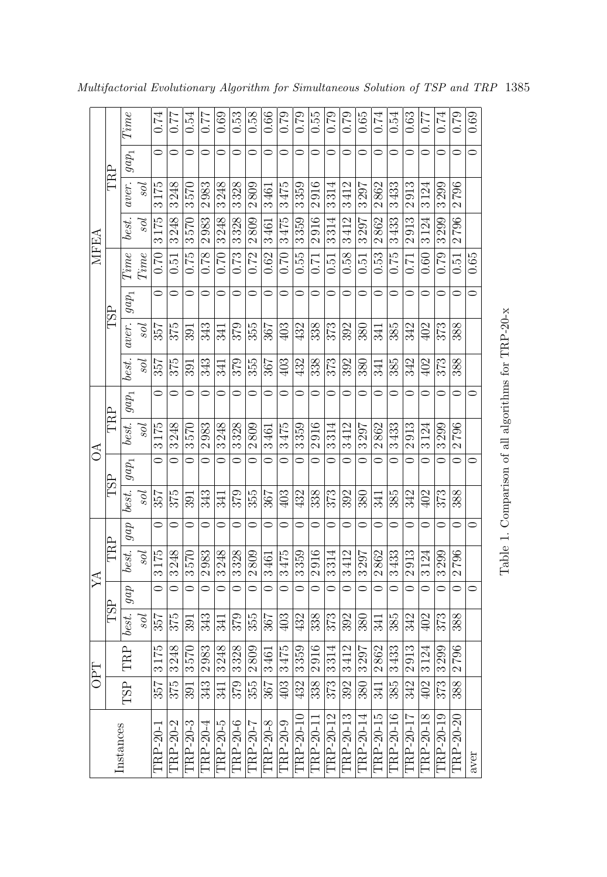|            |     | Time             |                | 0.74                     | 17.0                     | 0.54                     | 77.0                 | 0.69                 | 0.53                     | 0.58                     | 0.66                 | 67.0               | 67.0                     | 0.55                     | 0.79                 | 67.0                     | 0.65                     | 0.74                     | 0.54                 | 0.63                     | 77.0                     | 0.74                     | 67.0                     | 0.69    |  |
|------------|-----|------------------|----------------|--------------------------|--------------------------|--------------------------|----------------------|----------------------|--------------------------|--------------------------|----------------------|--------------------|--------------------------|--------------------------|----------------------|--------------------------|--------------------------|--------------------------|----------------------|--------------------------|--------------------------|--------------------------|--------------------------|---------|--|
|            |     | $gap_1$          |                | $\circ$                  | 0                        | 0                        | 0                    | $\circ$              | $\circ$                  | $\circ$                  | $\circ$              | $\circ$            | $\circ$                  | $\circ$                  | $\circ$              | $\circ$                  | $\circ$                  | 0                        | $\circ$              | $\circ$                  | $\circ$                  | $\circ$                  | $\circ$                  | $\circ$ |  |
|            | TRP | aver.            | los            | 3175                     | 3248                     | 3570                     | 2983                 | 3248                 | 3328                     | 2809                     | 3461                 | 3475               | 3359                     | 2916                     | 3314                 | 3412                     | 3297                     | 2862                     | 3433                 | 2913                     | 3124                     | 3299                     | 2796                     |         |  |
|            |     | best.            | уos            | 3175                     | 3248                     | 3570                     | 2983                 | 3248                 | 3328                     | 2809                     | 3461                 | 3475               | 3359                     | 2916                     | 3314                 | 3412                     | 3297                     | 2862                     | 3433                 | 2913                     | 3124                     | 3299                     | 2796                     |         |  |
| MFEA       |     | Time             | Time           | 0.70                     | 0.51                     | 0.75                     | 0.78                 | 0.70                 | 0.73                     | 0.72                     | 0.62                 | 0.70               | 0.55                     | 0.71                     | 0.51                 | 0.58                     | 0.51                     | 0.53                     | 0.75                 | 0.71                     | 0.60                     | 0.79                     | 0.51                     | 0.65    |  |
|            |     | $gap_1$          |                | $\circ$                  | $\overline{\phantom{0}}$ | $\circ$                  | $\circ$              | $\circ$              | $\circ$                  | $\overline{\bullet}$     | $\overline{\bullet}$ | $\circ$            | $\circ$                  | $\circ$                  | $\circ$              | $\circ$                  | $\circ$                  | $\circ$                  | $\overline{\bullet}$ | $\circ$                  | $\circ$                  | $\circ$                  | $\overline{\bullet}$     | $\circ$ |  |
|            | TSP | aver.            | уos            | 357                      | 375                      | 391                      | 343                  | 341                  | 379                      | 355                      | 367                  | 403                | 432                      | 338                      | 373                  | 392                      | 380                      | 341                      | 385                  | 342                      | 402                      | 373                      | 388                      |         |  |
|            |     | best.            | уos            | 357                      | 375                      | 391                      | 343                  | 341                  | 379                      | 355                      | 367                  | 403                | 432                      | 338                      | 373                  | 392                      | 380                      | 341                      | 385                  | 342                      | 402                      | 373                      | 388                      |         |  |
|            |     | $gap_1$          |                | $\circ$                  | $\circ$                  | $\circ$                  | $\circ$              | $\circ$              | $\overline{\phantom{0}}$ | $\overline{\phantom{0}}$ | $\circ$              | $\circ$            | $\circ$                  | $\overline{\phantom{0}}$ | $\circ$              | $\circ$                  | $\overline{\phantom{0}}$ | $\circ$                  | $\circ$              | $\circ$                  | $\circ$                  | $\overline{\phantom{0}}$ | $\overline{\phantom{0}}$ | $\circ$ |  |
|            | TRP | best.            | гoς            | 3175                     | 3248                     | 3570                     | 2983                 | 3248                 | 3328                     | 2809                     | 3461                 | 3475               | 3359                     | 2916                     | 3314                 | 3412                     | 3297                     | 2862                     | 3433                 | 2913                     | 3124                     | 3299                     | 2796                     |         |  |
| Z          |     | $gap_1$          |                | $\overline{\phantom{0}}$ | $\overline{\bullet}$     | $\overline{\phantom{0}}$ | $\overline{\bullet}$ | $\overline{\bullet}$ | $\overline{\bullet}$     | $\overline{\circ}$       | $\overline{\circ}$   | $\overline{\circ}$ | $\overline{\phantom{0}}$ | $\overline{\circ}$       | $\overline{\bullet}$ | $\overline{\phantom{0}}$ | $\overline{\circ}$       | $\overline{\phantom{0}}$ | $\overline{\circ}$   | $\overline{\phantom{0}}$ | $\overline{\phantom{0}}$ | $\overline{\bullet}$     | $\overline{\phantom{0}}$ | $\circ$ |  |
|            | ESL | best.            | los            | 357                      | 375                      | 591                      | 343                  | 541                  | 379                      | 355                      | 367                  | 403                | 432                      | 338                      | 373                  | 392                      | 380                      | 341                      | 385                  | 342                      | 402                      | 373                      | 388                      |         |  |
|            |     | $d\overline{v}$  |                | $\circ$                  | 0                        | $\circ$                  | $\circ$              | $\circ$              | $\circ$                  | $\circ$                  | $\circ$              | $\circ$            | $\circ$                  | $\circ$                  | $\circ$              | 0                        | $\circ$                  | $\circ$                  | $\circ$              | $\circ$                  | $\circ$                  | $\circ$                  | $\circ$                  | $\circ$ |  |
|            | TRP | best.            | роs            | 3175                     | 3248                     | 3570                     | 2983                 | 3248                 | 3328                     | 2809                     | 3461                 | 3475               | 3359                     | 2916                     | 3314                 | 3412                     | 3297                     | 2862                     | 3433                 | 2913                     | 3124                     | 3299                     | 2796                     |         |  |
| A          |     | dob              |                | $\circ$                  | $\circ$                  | $\circ$                  | $\overline{\bullet}$ | $\overline{\bullet}$ | $\overline{\phantom{0}}$ | $\circ$                  | $\overline{\bullet}$ | $\circ$            | $\overline{\phantom{0}}$ | $\circ$                  | $\circ$              | $\overline{\bullet}$     | $\overline{\circ}$       |                          | $\circ$              | $\circ$                  | $\overline{\phantom{0}}$ | $\overline{\circ}$       | $\circ$                  | $\circ$ |  |
|            | ESL | best.            | <sub>sol</sub> | 357                      | 375                      | 391                      | 343                  | 341                  | 379                      | 355                      | 367                  | 403                | 432                      | 338                      | 373                  | 392                      | 380                      | 341                      | 385                  | 342                      | 402                      | 373                      | 388                      |         |  |
|            |     | TRP              |                | 3175                     | 3248                     | 3570                     | 2983                 | 3248                 | 3328                     | 2809                     | 3461                 | 3475               | 3359                     | 2916                     | 3314                 | 3412                     | 3297                     | 2862                     | 3433                 | 2913                     | 3124                     | 3299                     | 2796                     |         |  |
| <b>OPT</b> |     | TSP <sup>1</sup> |                | 357                      | 375                      | 391                      | 343                  | 341                  | $\overline{379}$         | 355                      | 367                  | 403                | 432                      | 338                      | 373                  | 392                      | 380                      | 341                      | 385                  | 342                      | 402                      | $\overline{373}$         | 388                      |         |  |
|            |     | Instances        |                | TRP-20-1                 | TRP-20-2                 | TRP-20-3                 | TRP-20-4             | TRP-20-5             | TRP-20-6                 | TRP-20-7                 | TRP-20-8             | TRP-20-9           | TRP-20-10                | TRP-20-11                | TRP-20-12            | TRP-20-13                | TRP-20-14                | TRP-20-15                | TRP-20-16            | TRP-20-17                | TRP-20-18                | TRP-20-19                | TRP-20-20                | aver    |  |

<span id="page-15-0"></span>Multifactorial Evolutionary Algorithm for Simultaneous Solution of TSP and TRP 1385

 $\overline{\phantom{a}}$ 

 $\overline{a}$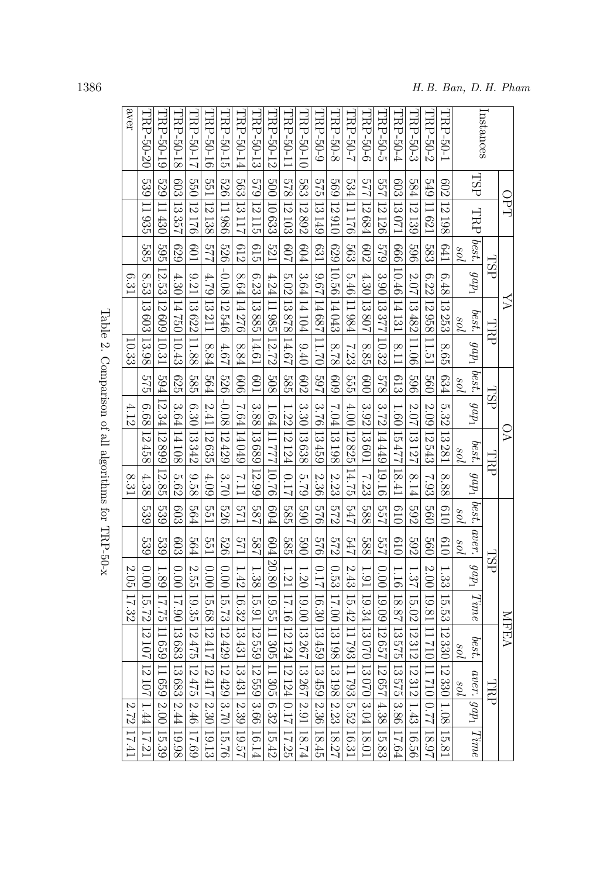<span id="page-16-0"></span>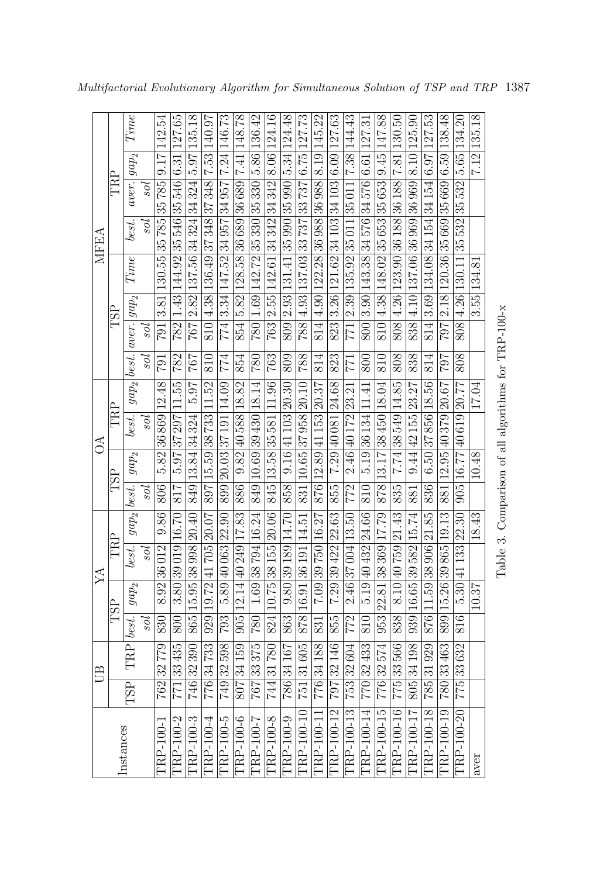<span id="page-17-0"></span>

|             |     | Time                             |                           |                                           |                                                       |                                           |                                                                       |                                           |                                           |                                                       |                                        |                                           |                                           |                                                           |                                           |                                                       |                                           |                                           |                                           |                                                         |                                           |                                           |                                               |             |                                                     |
|-------------|-----|----------------------------------|---------------------------|-------------------------------------------|-------------------------------------------------------|-------------------------------------------|-----------------------------------------------------------------------|-------------------------------------------|-------------------------------------------|-------------------------------------------------------|----------------------------------------|-------------------------------------------|-------------------------------------------|-----------------------------------------------------------|-------------------------------------------|-------------------------------------------------------|-------------------------------------------|-------------------------------------------|-------------------------------------------|---------------------------------------------------------|-------------------------------------------|-------------------------------------------|-----------------------------------------------|-------------|-----------------------------------------------------|
|             |     |                                  |                           | 791 3.81 130.55 35 785 35 785 9.17 142.54 | 782   1.43   144.92   35 546   35 546   6.31   127.65 | 767 2.82 137.56 34 324 34 324 5.97 135.18 | $810$   $4.38$   $136.49$   $37\,348$   $37\,348$   $7.53$   $140.97$ | 774 3.34 147.52 34 957 34 957 7.24 146.73 | 854 5.82 128.58 36 689 36 689 7.41 148.78 | 780   1.69   142.72   35 330   35 330   5.86   136.42 | 763 2.55 142.61 34 342 342 8.06 124.16 | 809 2.93 131.41 35 990 35 990 5.34 124.48 | 788 4.93 137.03 33 737 33 737 6.75 127.73 | $814$   $4.90$   122.28   36 988   36 988   8.19   145.22 | 823 3.26 121.62 34 103 34 103 6.09 127.63 | 771   2.39   135.92   35 011   35 011   7.38   144.43 | 800 3.90 143.38 34 576 34 576 6.61 127.31 | $810 4.38 148.02 35653 35653 9.45 147.88$ | 808 4.26 123.90 36 188 36 188 7.81 130.50 | $838$   4.10   137.06   36 969   36 969   8.10   125.90 | 814 3.69 134.08 34 154 34 154 6.97 127.53 | 797 2.18 120.36 35 669 35 669 6.59 138.48 | $808 4.26 130.11 35\,532 35\,532 5.65 134.20$ | 7.12 135.18 |                                                     |
|             | TRP | $aver$ . $\left  gap_{2}\right.$ | уos                       |                                           |                                                       |                                           |                                                                       |                                           |                                           |                                                       |                                        |                                           |                                           |                                                           |                                           |                                                       |                                           |                                           |                                           |                                                         |                                           |                                           |                                               |             |                                                     |
|             |     |                                  |                           |                                           |                                                       |                                           |                                                                       |                                           |                                           |                                                       |                                        |                                           |                                           |                                                           |                                           |                                                       |                                           |                                           |                                           |                                                         |                                           |                                           |                                               |             |                                                     |
| <b>MFEA</b> |     | best.                            | уos                       |                                           |                                                       |                                           |                                                                       |                                           |                                           |                                                       |                                        |                                           |                                           |                                                           |                                           |                                                       |                                           |                                           |                                           |                                                         |                                           |                                           |                                               |             |                                                     |
|             |     | Time                             |                           |                                           |                                                       |                                           |                                                                       |                                           |                                           |                                                       |                                        |                                           |                                           |                                                           |                                           |                                                       |                                           |                                           |                                           |                                                         |                                           |                                           |                                               |             |                                                     |
|             |     |                                  |                           |                                           |                                                       |                                           |                                                                       |                                           |                                           |                                                       |                                        |                                           |                                           |                                                           |                                           |                                                       |                                           |                                           |                                           |                                                         |                                           |                                           |                                               | 3.55 134.81 |                                                     |
|             | TSP |                                  | уos                       |                                           |                                                       |                                           |                                                                       |                                           |                                           |                                                       |                                        |                                           |                                           |                                                           |                                           |                                                       |                                           |                                           |                                           |                                                         |                                           |                                           |                                               |             |                                                     |
|             |     | $gap_2   best   aver   age$      | 90s                       | $ 162\rangle$                             | 782                                                   | 767                                       | 810                                                                   | 774                                       | 854                                       | $\overline{180}$                                      | $\frac{763}{ }$                        | 809                                       | 88                                        | 814                                                       | 823                                       | 171                                                   | 800                                       | 810                                       | $\frac{808}{5}$                           | 838                                                     | $\overline{814}$                          | 707                                       | $\frac{808}{2}$                               |             |                                                     |
|             |     |                                  |                           |                                           |                                                       |                                           |                                                                       |                                           |                                           |                                                       |                                        |                                           |                                           |                                                           |                                           |                                                       |                                           |                                           |                                           |                                                         |                                           |                                           |                                               | 17.04       |                                                     |
|             | TRP |                                  | 90s                       |                                           |                                                       |                                           |                                                                       |                                           |                                           |                                                       |                                        |                                           |                                           |                                                           |                                           |                                                       |                                           |                                           |                                           |                                                         |                                           |                                           |                                               |             |                                                     |
| $\Im$       |     | best.                            |                           |                                           |                                                       |                                           |                                                                       |                                           |                                           |                                                       |                                        |                                           |                                           |                                                           |                                           |                                                       |                                           |                                           | 7.74 38 549 14.85                         |                                                         |                                           |                                           |                                               |             |                                                     |
|             |     | $ gap_2 $                        |                           | 5.82 36869 12.48                          | 817 5.97 37 297 11.55                                 | 849 13.84 34 324 5.97                     | 897 15.59 38 733 11.52                                                | 899 20.03 37 191 14.09                    | 886 9.82 40 588 18.82                     | 849 10.69 39 430 18.14                                | 845 13.58 35581 11.96                  | 858 9.16 41 103 20.30                     | 831 10.65 37 958 20.10                    | 876 12.89 41 153 20.37                                    | 855 7.29 40 081 24.68                     | 772 2.46 40 172 23.21                                 | 810 5.19 36 134 11.41                     | 878 13.17 38 450 18.04                    |                                           | 9.44 42155 23.27                                        | 836 6.50 37856 18.56                      | 881 12.95 40 379 20.67                    | 905 16.77 40 619 20.77                        | 10.48       |                                                     |
|             | TSP |                                  | $\overline{\mathfrak{z}}$ | 806                                       |                                                       |                                           |                                                                       |                                           |                                           |                                                       |                                        |                                           |                                           |                                                           |                                           |                                                       |                                           |                                           | 835                                       | 881                                                     |                                           |                                           |                                               |             |                                                     |
|             |     | $gap_2   best.$                  |                           |                                           |                                                       |                                           |                                                                       |                                           |                                           |                                                       |                                        |                                           |                                           |                                                           |                                           |                                                       |                                           |                                           |                                           |                                                         |                                           |                                           |                                               | 18.43       |                                                     |
|             | TRP | best.                            | гos                       | 8.92 36 012 9.86                          | 3.80 39 019 16.70                                     | $746$ 32 390 865 15.95 38 998 20.40       | 929 19.72 41 705 20.07                                                | 793 5.89 40 063 22.90                     | 905 12.14 40 249 17.83                    | 1.69 38 794 16.24                                     | 744 31 780 824 10.75 38 155 20.06      | 863   9.80   39 189   14.70               | 878 16.91 36 191 14.51                    | 7.09 39 750 16.27                                         | 7.29 39 422 22.63                         | $772$   2.46 37 004 13.50                             | 5.19 40432 24.66                          | 953 22.81 38 369 17.79                    | 8.10 40759 21.43                          | 939 16.65 39 582 15.74                                  | 785 31 929 876 11.59 38 906 21.85         | 899 15.26 39 865 19.13                    | 816 5.30 41 133 22.30                         |             | Table 3. Comparison of all algorithms for TRP-100-x |
| Á           |     | $ gap_2 $                        |                           |                                           |                                                       |                                           |                                                                       |                                           |                                           |                                                       |                                        |                                           |                                           |                                                           |                                           |                                                       |                                           |                                           |                                           |                                                         |                                           |                                           |                                               | 10.37       |                                                     |
|             | TSP | best.                            | уos                       | 830                                       | 008                                                   |                                           |                                                                       |                                           |                                           | 082                                                   |                                        |                                           |                                           | $\overline{\text{83}}$                                    | 855                                       |                                                       | 0                                         |                                           | 838                                       |                                                         |                                           |                                           |                                               |             |                                                     |
|             |     | TRP                              |                           |                                           |                                                       |                                           |                                                                       |                                           |                                           |                                                       |                                        |                                           |                                           |                                                           |                                           |                                                       |                                           |                                           |                                           |                                                         |                                           |                                           |                                               |             |                                                     |
| UB          |     |                                  |                           | 762 32 779                                | 771 33 435                                            |                                           | 776 34 733                                                            | 749 32 598                                | 807 34 159                                | 767 33 375                                            |                                        | 786 34 167                                | 751 31 605                                | 776 34 188                                                | 797 32 146                                | 753 32 604                                            | 770 32 433                                | 776 32 574                                | 775 33 566                                | 805 34 198                                              |                                           |                                           | 775 33 632                                    |             |                                                     |
|             |     | <b>TSP</b>                       |                           |                                           |                                                       |                                           |                                                                       |                                           |                                           |                                                       |                                        |                                           |                                           |                                                           |                                           |                                                       |                                           |                                           |                                           |                                                         |                                           |                                           |                                               |             |                                                     |
|             |     | Instances                        |                           | TRP-100-1                                 | TRP-100-2                                             | TRP-100-3                                 | TRP-100-4                                                             | TRP-100-5                                 | TRP-100-6                                 | TRP-100-7                                             | TRP-100-8                              | TRP-100-9                                 | TRP-100-10                                | TRP-100-11                                                | TRP-100-12                                | TRP-100-13                                            | TRP-100-14                                | TRP-100-15                                | TRP-100-16                                | TRP-100-17                                              | TRP-100-18                                | TRP-100-19 780 33 463                     | TRP-100-20                                    | aver        |                                                     |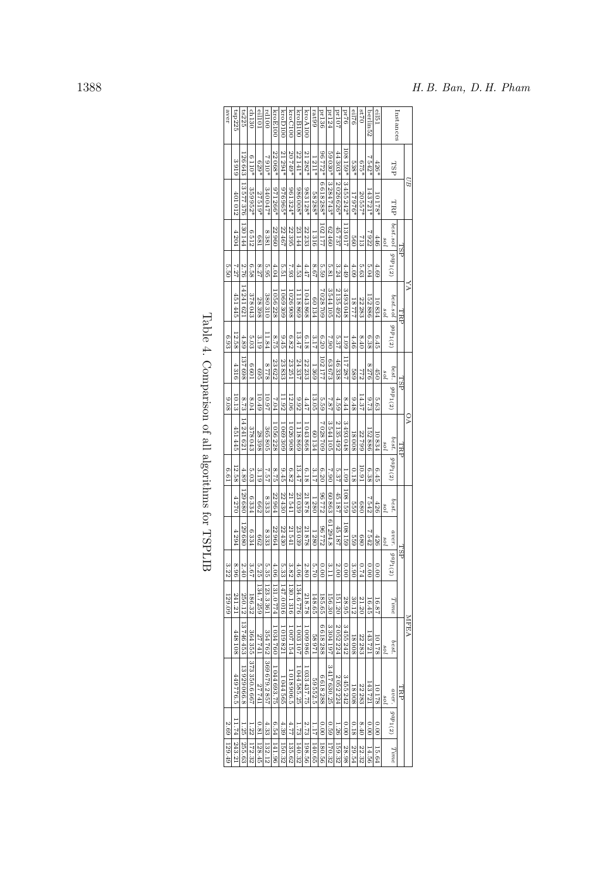|      |            | Instances                    |     | eil51  | berlin52        | 0248                  | eil76                 | 9L1d                                                                                             | <b>Pr107</b>       | pr124           | <b>pr136</b> | 661 <sub>e1</sub> | kroA100      | kroB100       | <b>kroC100</b> | kroD100       | kroE100              | 001P <sub>rf</sub> | eil101     | $rac{dn130}{2}$      | ts225                     | tsp225       | aver        |
|------|------------|------------------------------|-----|--------|-----------------|-----------------------|-----------------------|--------------------------------------------------------------------------------------------------|--------------------|-----------------|--------------|-------------------|--------------|---------------|----------------|---------------|----------------------|--------------------|------------|----------------------|---------------------------|--------------|-------------|
|      |            | <b>TSP</b>                   |     | $426*$ | 7542*           | 675*                  | 538*                  | $159*$                                                                                           |                    | 59030*          | *2772*       | 1211*             | 21282*       | 22 141*       | 20749*         | 21294*        | 22068*               | $*0162$            | $629*$     | $0110*$              | 26643                     | 3919         |             |
| BВ   |            |                              |     | 10178* | 143721*         | 20557*                | 17976*                | $13455242*$                                                                                      | 44 303*   2026626* | $ 3284743*$     | 6618288*     | 58288*            | 983128*      | $*800986$     | 961324*        | *296946       | 971266*              | 340047*            | 27519*     | 359952*              | 13577376                  | 401012       |             |
|      | <b>TSP</b> | TRP   best.sol   gap1(2)     | sol | 446    | 7922            | 713                   | <b>S60</b>            | 113017                                                                                           | 45737              | 62460           | 102177       | 1316              | 22 233       | 23 144        | 22395          | 22467         | 22960                | 8381               | <b>L89</b> | 6512                 | 130 144                   | 4204         |             |
|      |            |                              |     | 4.69   | 5.04            | 5.63                  | 4.09                  | 4.49                                                                                             |                    | 5.81            | 5.59         | 8.67              | 4.47         | 4.53          | 7.93           | 5.51          | 4.04                 | 5.95               | 8.27       | 6.58                 | 2.76                      | 7.27         | 5.50        |
| УĀ   | TRР        |                              | pos | 10834  | 152886          | 22283                 | 17777                 | 3493048                                                                                          | 3.24   2135492     | 3544105         | 7028709      | 60134             | 1043868      | 1118869       | 1026908        | 1069309       | 1056228              | 380310             | 28398      | 378043               | 14241621                  | 451445       |             |
|      |            | best.sol gap <sub>1(2)</sub> |     | 6.45   | 6.38            | $0+8$                 | $\frac{4.46}{ }$      |                                                                                                  |                    | 062             | 6.20         | 3.17              | 8.18         | $13.47\,$     | 6.82           | 9.45          | 8.75                 | 11.84              | 3.19       | 5.03                 | $4.89\,$                  | 12.58        | 6.93        |
|      | <b>TSP</b> |                              | 10s | 450    | 8276            | 772                   | $\frac{188}{112281}$  | $\begin{array}{ c c c c }\n\hline\n1.09 & 117287 \\ \hline\n5.37 & 46338 \\ \hline\n\end{array}$ |                    | 63673           | 102177       | 1369              | 22 233       | 24337         | 23 251         | 23833         | $\frac{23622}{8778}$ |                    | $^{269}$   | $\frac{1099}{2}$     | 137698                    | 4316         |             |
|      |            | best. $\int gap_1(2)$        |     | 5.63   | 8.73            | 14.37                 | 8'48                  | 8.44                                                                                             | 4.59               | 7.87            | 5.59         | 13.05             | 4.47         | 8.92          | 12.06          | 11.92         | 7.04                 | 10.97              | 10.49      | 8.04                 | 8.73                      | 10.13        | 80.6        |
| Č    | TRP        |                              | sot | 10834  | 152886          | 22799                 | 18008                 | 3493048                                                                                          | 2 135 492          | 3544105         | 7 028 709    | 60134             | 1 043 868    | 6988III       | 1026908        | 1 069 309     | 1056228              | 365805             | 28398      |                      | $\frac{378043}{14241621}$ | 451 445      |             |
|      |            | $best. \mid gap_1(2)$        |     | 6.45   | 6.38            | 10.91                 | 0.18                  | 1.001                                                                                            | 5.37               | 7.90            | 6.20         | 3.17              | 6.18         | 13.47         | 6.82           | 9.45          | 8.75                 | 7.57               | 3.19       | 5.03                 | 4.89                      | 12.58        | E.61        |
|      |            | $best.$ $\substack{s \; of}$ |     | 426    | 7542            | 089                   | 559                   | 108159                                                                                           | 45187              |                 | 86772        | 1280              | 21878        | 23039         | 21541          | $22\,430$     | 22964                | 8333               | <b>COS</b> | 6334                 | 129680                    | 4270         |             |
|      |            |                              | 10s | 426    | 7542            | 88                    | <b>559</b>            | 108159                                                                                           | 45187              | 60 863 61 294.8 | 86772        | 1280              | 21878        | 23039         | 21541          | 22430         | 22964                | 8333               | Z99        | 6334                 | 129680                    | 4294         |             |
|      | TSP        | $aver.$   $gap_1(2)$         |     | 0.00   | 0.00            | <b>P<sub>74</sub></b> | 3.90                  | 0.00                                                                                             | 2.00               | 3.11            | 0.00         | 5.70              | $2.80\,$     |               |                |               |                      | 5.35               | 5.25       | 3.67                 | 2.40                      | 96.8         | 3.22        |
|      |            | Time                         |     | 16.87  | 16.45           | 21.20                 | 30.12                 | 28.95                                                                                            | 151.20             | 156.30          | 185.65       | 148.65            | 218.78       | 4.06 134.6776 | 3.82 130.1316  | 5.33 147.0016 | 4.06 131.0774        | 123.3561           | 134.7259   | 186.32               | 250.12                    | 241.21       | 129.09      |
| MEEA |            | best.                        | sol | 10178  | 143721          | 22283                 | 18008                 | 3455242                                                                                          | 2052224            | 3 304 197       | 6618288      | 128821            | 1 009 986    | 1003107       | 1007154        | 1019821       | 1034760              |                    | 27741      |                      | 13746453                  | 448108       |             |
|      | ERР        |                              | ios | 10178  | 143721          | 22283                 | 18008                 | 3455242                                                                                          | 2052224            | 3417630.25      | 6618288      | 59552.5           | 1 033 437.75 | 1044585.25    | 1018906.5      | 1044565       | 1044693.75           | 354762 369679.2857 | 27741      | 364 355 373 350.6667 | 13929066.8                | 449776.5     |             |
|      |            | $aver.$ [ $gap_1(2)$         |     | 0.00   | $\frac{60}{60}$ | 8.40                  | 0.18                  |                                                                                                  |                    |                 |              |                   |              |               |                |               |                      |                    |            |                      |                           |              |             |
|      |            | Time                         |     | 15.64  | 14.56           |                       | $\frac{22.32}{29.54}$ |                                                                                                  |                    |                 |              |                   |              |               |                |               |                      |                    |            |                      | 1.25 255.63               | 11.74 243.21 | 2.69 129.49 |

<span id="page-18-0"></span>

| くりく                                                           |
|---------------------------------------------------------------|
| י<br>י                                                        |
| )<br>I<br>J<br>Ï<br>í<br>Ì<br>١<br>֕<br>I<br>Ï<br>i<br>i<br>j |
| í                                                             |
| <b>Comment</b>                                                |
| į<br>i<br>Ó<br>I                                              |
| ŀ<br>S<br>I<br>ŀ<br>I                                         |
| くりし                                                           |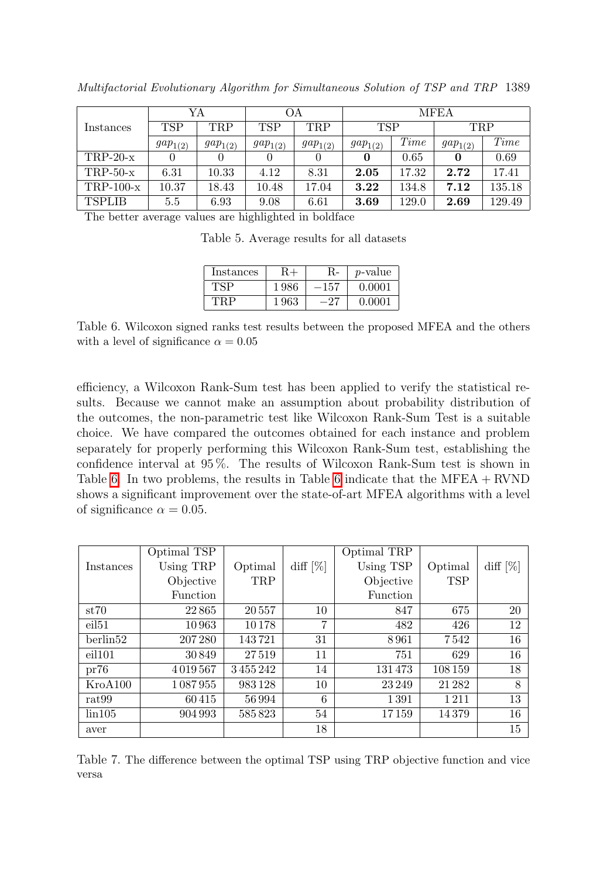|               |              | YA           |              | OА           | <b>MFEA</b>  |       |              |        |  |  |  |  |
|---------------|--------------|--------------|--------------|--------------|--------------|-------|--------------|--------|--|--|--|--|
| Instances     | <b>TSP</b>   | <b>TRP</b>   | <b>TSP</b>   | <b>TRP</b>   | <b>TSP</b>   |       | <b>TRP</b>   |        |  |  |  |  |
|               | $gap_{1(2)}$ | $gap_{1(2)}$ | $gap_{1(2)}$ | $gap_{1(2)}$ | $gap_{1(2)}$ | Time  | $gap_{1(2)}$ | Time   |  |  |  |  |
| $TRP-20-x$    |              |              |              |              | 0            | 0.65  |              | 0.69   |  |  |  |  |
| $TRP-50-x$    | 6.31         | 10.33        | 4.12         | 8.31         | 2.05         | 17.32 | 2.72         | 17.41  |  |  |  |  |
| $TRP-100-x$   | 10.37        | 18.43        | 10.48        | 17.04        | 3.22         | 134.8 | 7.12         | 135.18 |  |  |  |  |
| <b>TSPLIB</b> | 5.5          | 6.93         | 9.08         | 6.61         | 3.69         | 129.0 | 2.69         | 129.49 |  |  |  |  |

Multifactorial Evolutionary Algorithm for Simultaneous Solution of TSP and TRP 1389

<span id="page-19-0"></span>The better average values are highlighted in boldface

Table 5. Average results for all datasets

<span id="page-19-1"></span>

| Instances |      | R-  | p-value |
|-----------|------|-----|---------|
| TSP       | 1986 | 157 | 0.0001  |
| TRD       | 1963 | רפ  | 0.0001  |

Table 6. Wilcoxon signed ranks test results between the proposed MFEA and the others with a level of significance  $\alpha = 0.05$ 

efficiency, a Wilcoxon Rank-Sum test has been applied to verify the statistical results. Because we cannot make an assumption about probability distribution of the outcomes, the non-parametric test like Wilcoxon Rank-Sum Test is a suitable choice. We have compared the outcomes obtained for each instance and problem separately for properly performing this Wilcoxon Rank-Sum test, establishing the confidence interval at 95 %. The results of Wilcoxon Rank-Sum test is shown in Table [6.](#page-19-1) In two problems, the results in Table [6](#page-19-1) indicate that the MFEA + RVND shows a significant improvement over the state-of-art MFEA algorithms with a level of significance  $\alpha = 0.05$ .

|                   | Optimal TSP     |            |             | Optimal TRP     |            |             |
|-------------------|-----------------|------------|-------------|-----------------|------------|-------------|
| Instances         | Using TRP       | Optimal    | diff $[\%]$ | Using TSP       | Optimal    | diff $[\%]$ |
|                   | Objective       | <b>TRP</b> |             | Objective       | <b>TSP</b> |             |
|                   | <b>Function</b> |            |             | <b>Function</b> |            |             |
| st70              | 22865           | 20557      | 10          | 847             | 675        | 20          |
| eil <sub>51</sub> | 10963           | 10178      | 7           | 482             | 426        | 12          |
| berlin52          | 207280          | 143721     | 31          | 8961            | 7542       | 16          |
| eil101            | 30849           | 27519      | 11          | 751             | 629        | 16          |
| pr76              | 4019567         | 3455242    | 14          | 131473          | 108159     | 18          |
| KroA100           | 1087955         | 983128     | 10          | 23 24 9         | 21 28 2    | 8           |
| rat <sub>99</sub> | 60415           | 56994      | 6           | 1391            | 1211       | 13          |
| $\rm{lin}105$     | 904 993         | 585823     | 54          | 17159           | 14379      | 16          |
| aver              |                 |            | 18          |                 |            | 15          |

<span id="page-19-2"></span>Table 7. The difference between the optimal TSP using TRP objective function and vice versa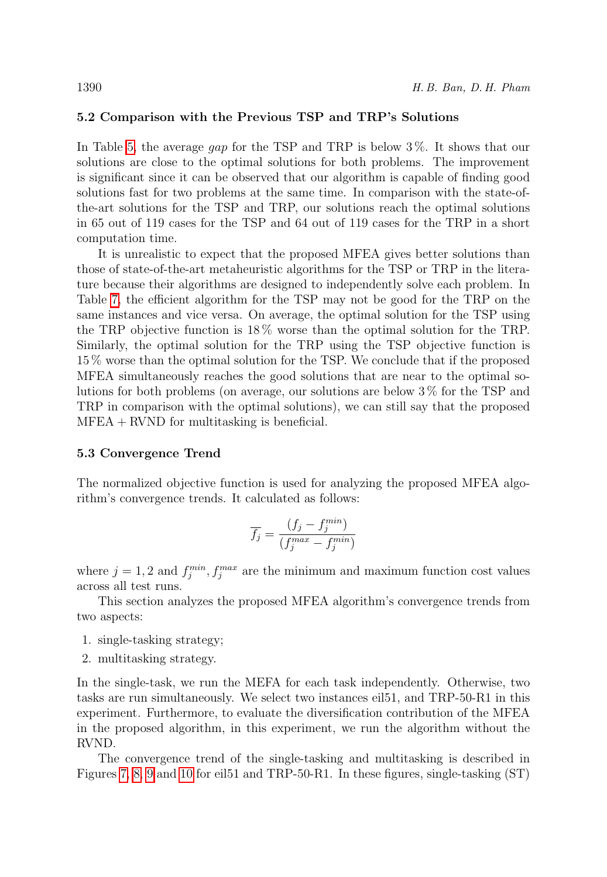# 5.2 Comparison with the Previous TSP and TRP's Solutions

In Table [5,](#page-19-0) the average gap for the TSP and TRP is below 3%. It shows that our solutions are close to the optimal solutions for both problems. The improvement is significant since it can be observed that our algorithm is capable of finding good solutions fast for two problems at the same time. In comparison with the state-ofthe-art solutions for the TSP and TRP, our solutions reach the optimal solutions in 65 out of 119 cases for the TSP and 64 out of 119 cases for the TRP in a short computation time.

It is unrealistic to expect that the proposed MFEA gives better solutions than those of state-of-the-art metaheuristic algorithms for the TSP or TRP in the literature because their algorithms are designed to independently solve each problem. In Table [7,](#page-19-2) the efficient algorithm for the TSP may not be good for the TRP on the same instances and vice versa. On average, the optimal solution for the TSP using the TRP objective function is 18 % worse than the optimal solution for the TRP. Similarly, the optimal solution for the TRP using the TSP objective function is 15 % worse than the optimal solution for the TSP. We conclude that if the proposed MFEA simultaneously reaches the good solutions that are near to the optimal solutions for both problems (on average, our solutions are below 3 % for the TSP and TRP in comparison with the optimal solutions), we can still say that the proposed  $MFEA + RVND$  for multitasking is beneficial.

#### 5.3 Convergence Trend

The normalized objective function is used for analyzing the proposed MFEA algorithm's convergence trends. It calculated as follows:

$$
\overline{f_j} = \frac{(f_j - f_j^{min})}{(f_j^{max} - f_j^{min})}
$$

where  $j = 1, 2$  and  $f_j^{min}, f_j^{max}$  are the minimum and maximum function cost values across all test runs.

This section analyzes the proposed MFEA algorithm's convergence trends from two aspects:

- 1. single-tasking strategy;
- 2. multitasking strategy.

In the single-task, we run the MEFA for each task independently. Otherwise, two tasks are run simultaneously. We select two instances eil51, and TRP-50-R1 in this experiment. Furthermore, to evaluate the diversification contribution of the MFEA in the proposed algorithm, in this experiment, we run the algorithm without the RVND.

The convergence trend of the single-tasking and multitasking is described in Figures [7,](#page-21-0) [8,](#page-21-1) [9](#page-22-0) and [10](#page-22-1) for eil51 and TRP-50-R1. In these figures, single-tasking (ST)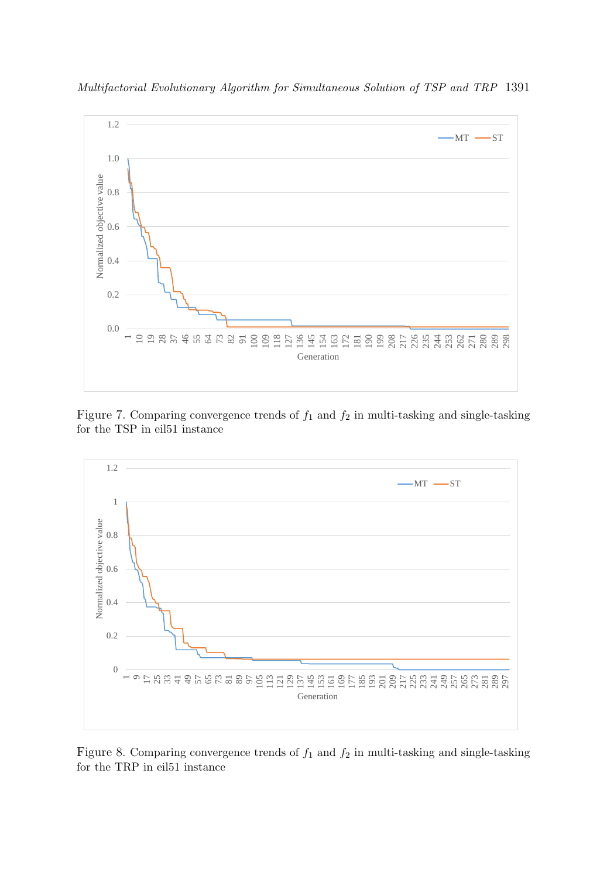

Multifactorial Evolutionary Algorithm for Simultaneous Solution of TSP and TRP 1391

<span id="page-21-0"></span>



<span id="page-21-1"></span>Figure 8. Comparing convergence trends of  $f_1$  and  $f_2$  in multi-tasking and single-tasking for the TRP in eil51 instance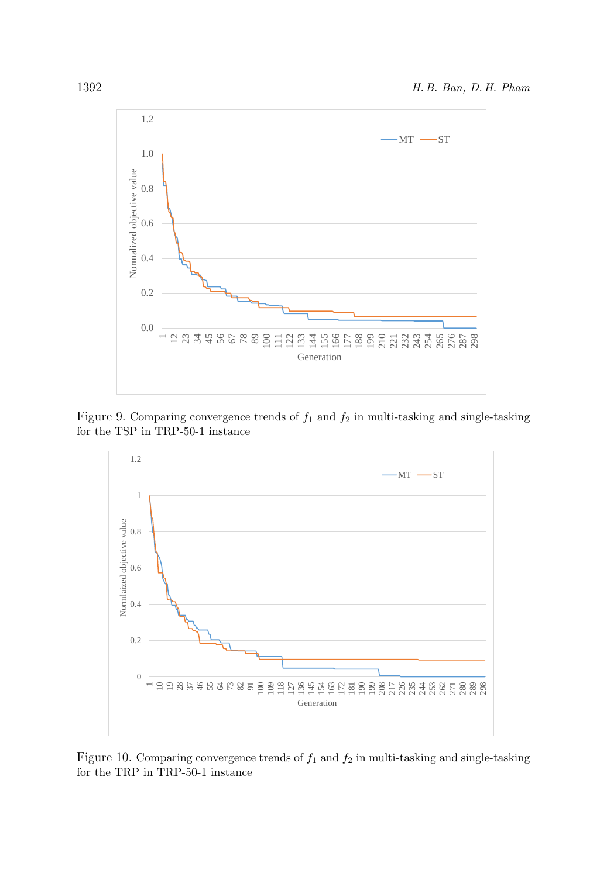

Figure 9. Comparing convergence trends of  $f_1$  and  $f_2$  in multi-tasking and single-tasking for the TSP in TRP-50-1 instance

<span id="page-22-0"></span>

<span id="page-22-1"></span>Figure 10. Comparing convergence trends of  $f_1$  and  $f_2$  in multi-tasking and single-tasking for the TRP in TRP-50-1 instance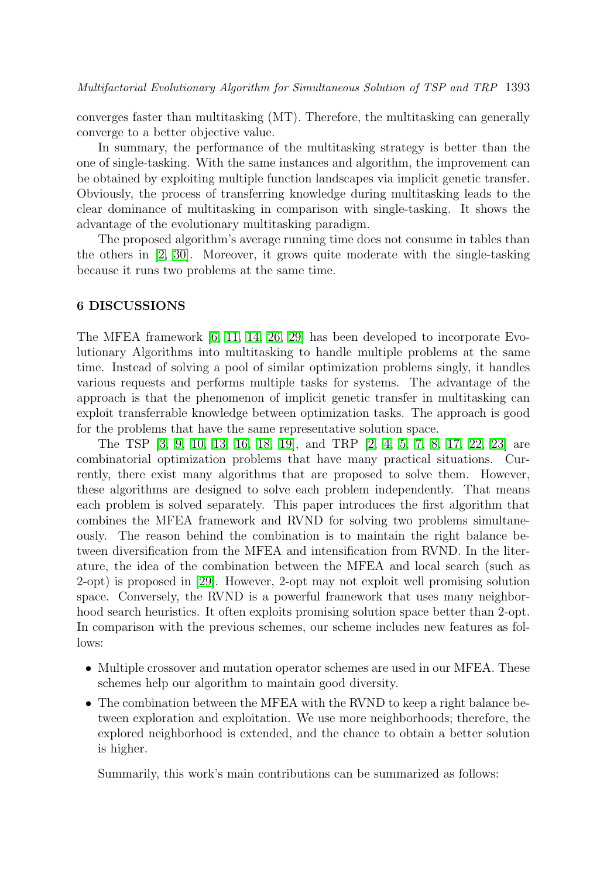converges faster than multitasking (MT). Therefore, the multitasking can generally converge to a better objective value.

In summary, the performance of the multitasking strategy is better than the one of single-tasking. With the same instances and algorithm, the improvement can be obtained by exploiting multiple function landscapes via implicit genetic transfer. Obviously, the process of transferring knowledge during multitasking leads to the clear dominance of multitasking in comparison with single-tasking. It shows the advantage of the evolutionary multitasking paradigm.

The proposed algorithm's average running time does not consume in tables than the others in [\[2,](#page-24-1) [30\]](#page-26-7). Moreover, it grows quite moderate with the single-tasking because it runs two problems at the same time.

#### <span id="page-23-0"></span>6 DISCUSSIONS

The MFEA framework [\[6,](#page-25-0) [11,](#page-25-1) [14,](#page-25-2) [26,](#page-26-0) [29\]](#page-26-2) has been developed to incorporate Evolutionary Algorithms into multitasking to handle multiple problems at the same time. Instead of solving a pool of similar optimization problems singly, it handles various requests and performs multiple tasks for systems. The advantage of the approach is that the phenomenon of implicit genetic transfer in multitasking can exploit transferrable knowledge between optimization tasks. The approach is good for the problems that have the same representative solution space.

The TSP [\[3,](#page-24-0) [9,](#page-25-3) [10,](#page-25-4) [13,](#page-25-5) [16,](#page-25-6) [18,](#page-25-7) [19\]](#page-26-3), and TRP [\[2,](#page-24-1) [4,](#page-24-2) [5,](#page-24-3) [7,](#page-25-8) [8,](#page-25-9) [17,](#page-25-10) [22,](#page-26-4) [23\]](#page-26-5) are combinatorial optimization problems that have many practical situations. Currently, there exist many algorithms that are proposed to solve them. However, these algorithms are designed to solve each problem independently. That means each problem is solved separately. This paper introduces the first algorithm that combines the MFEA framework and RVND for solving two problems simultaneously. The reason behind the combination is to maintain the right balance between diversification from the MFEA and intensification from RVND. In the literature, the idea of the combination between the MFEA and local search (such as 2-opt) is proposed in [\[29\]](#page-26-2). However, 2-opt may not exploit well promising solution space. Conversely, the RVND is a powerful framework that uses many neighborhood search heuristics. It often exploits promising solution space better than 2-opt. In comparison with the previous schemes, our scheme includes new features as follows:

- Multiple crossover and mutation operator schemes are used in our MFEA. These schemes help our algorithm to maintain good diversity.
- The combination between the MFEA with the RVND to keep a right balance between exploration and exploitation. We use more neighborhoods; therefore, the explored neighborhood is extended, and the chance to obtain a better solution is higher.

Summarily, this work's main contributions can be summarized as follows: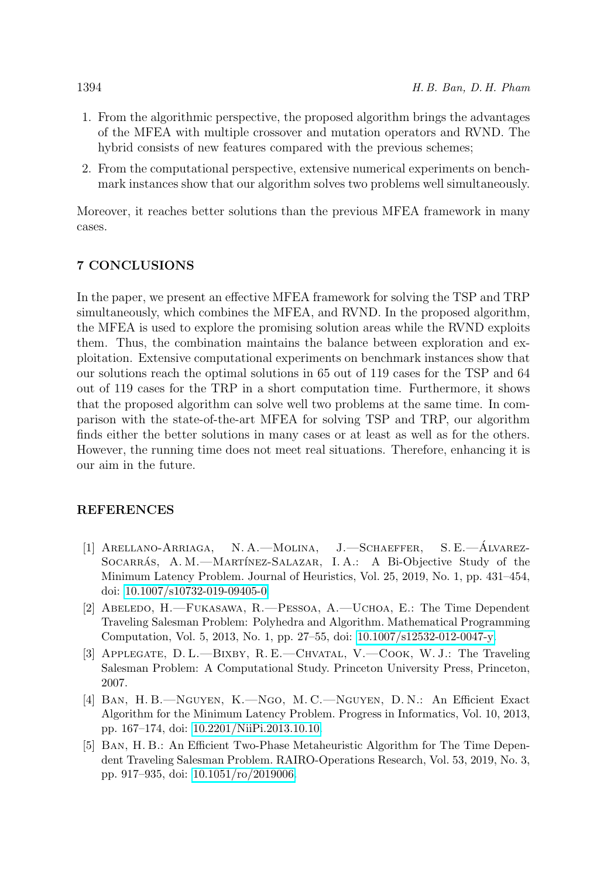- 1. From the algorithmic perspective, the proposed algorithm brings the advantages of the MFEA with multiple crossover and mutation operators and RVND. The hybrid consists of new features compared with the previous schemes;
- 2. From the computational perspective, extensive numerical experiments on benchmark instances show that our algorithm solves two problems well simultaneously.

Moreover, it reaches better solutions than the previous MFEA framework in many cases.

# <span id="page-24-4"></span>7 CONCLUSIONS

In the paper, we present an effective MFEA framework for solving the TSP and TRP simultaneously, which combines the MFEA, and RVND. In the proposed algorithm, the MFEA is used to explore the promising solution areas while the RVND exploits them. Thus, the combination maintains the balance between exploration and exploitation. Extensive computational experiments on benchmark instances show that our solutions reach the optimal solutions in 65 out of 119 cases for the TSP and 64 out of 119 cases for the TRP in a short computation time. Furthermore, it shows that the proposed algorithm can solve well two problems at the same time. In comparison with the state-of-the-art MFEA for solving TSP and TRP, our algorithm finds either the better solutions in many cases or at least as well as for the others. However, the running time does not meet real situations. Therefore, enhancing it is our aim in the future.

# REFERENCES

- <span id="page-24-5"></span>[1] Arellano-Arriaga, N. A.—Molina, J.—Schaeffer, S. E.—Alvarez- ´ SOCARRÁS, A. M.—MARTÍNEZ-SALAZAR, I. A.: A Bi-Objective Study of the Minimum Latency Problem. Journal of Heuristics, Vol. 25, 2019, No. 1, pp. 431–454, doi: [10.1007/s10732-019-09405-0.](https://doi.org/10.1007/s10732-019-09405-0)
- <span id="page-24-1"></span>[2] Abeledo, H.—Fukasawa, R.—Pessoa, A.—Uchoa, E.: The Time Dependent Traveling Salesman Problem: Polyhedra and Algorithm. Mathematical Programming Computation, Vol. 5, 2013, No. 1, pp. 27–55, doi: [10.1007/s12532-012-0047-y.](https://doi.org/10.1007/s12532-012-0047-y)
- <span id="page-24-0"></span>[3] Applegate, D. L.—Bixby, R. E.—Chvatal, V.—Cook, W. J.: The Traveling Salesman Problem: A Computational Study. Princeton University Press, Princeton, 2007.
- <span id="page-24-2"></span>[4] Ban, H. B.—Nguyen, K.—Ngo, M. C.—Nguyen, D. N.: An Efficient Exact Algorithm for the Minimum Latency Problem. Progress in Informatics, Vol. 10, 2013, pp. 167–174, doi: [10.2201/NiiPi.2013.10.10.](https://doi.org/10.2201/NiiPi.2013.10.10)
- <span id="page-24-3"></span>[5] Ban, H. B.: An Efficient Two-Phase Metaheuristic Algorithm for The Time Dependent Traveling Salesman Problem. RAIRO-Operations Research, Vol. 53, 2019, No. 3, pp. 917–935, doi: [10.1051/ro/2019006.](https://doi.org/10.1051/ro/2019006)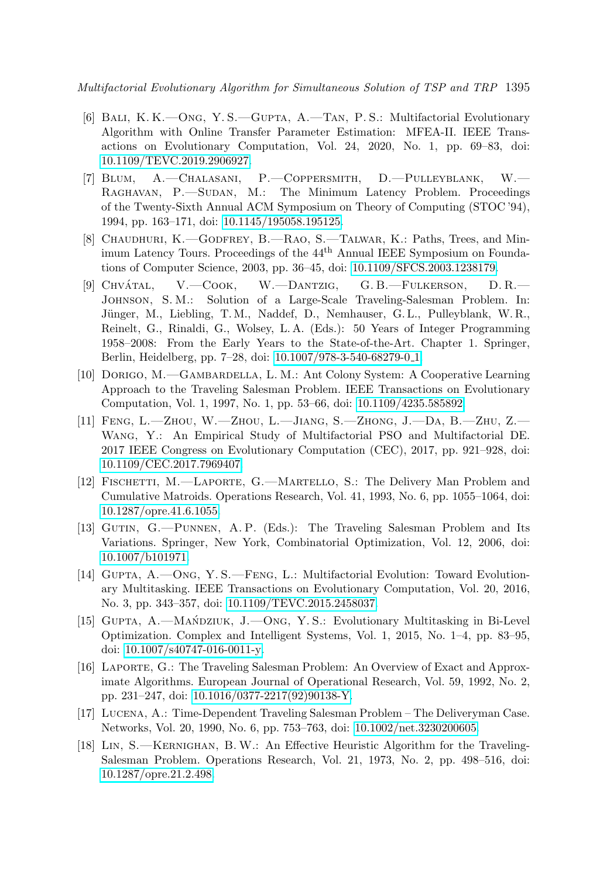Multifactorial Evolutionary Algorithm for Simultaneous Solution of TSP and TRP 1395

- <span id="page-25-0"></span>[6] Bali, K. K.—Ong, Y. S.—Gupta, A.—Tan, P. S.: Multifactorial Evolutionary Algorithm with Online Transfer Parameter Estimation: MFEA-II. IEEE Transactions on Evolutionary Computation, Vol. 24, 2020, No. 1, pp. 69–83, doi: [10.1109/TEVC.2019.2906927.](https://doi.org/10.1109/TEVC.2019.2906927)
- <span id="page-25-8"></span>[7] Blum, A.—Chalasani, P.—Coppersmith, D.—Pulleyblank, W.— RAGHAVAN, P. SUDAN, M.: The Minimum Latency Problem. Proceedings of the Twenty-Sixth Annual ACM Symposium on Theory of Computing (STOC '94), 1994, pp. 163–171, doi: [10.1145/195058.195125.](https://doi.org/10.1145/195058.195125)
- <span id="page-25-9"></span>[8] Chaudhuri, K.—Godfrey, B.—Rao, S.—Talwar, K.: Paths, Trees, and Minimum Latency Tours. Proceedings of the 44th Annual IEEE Symposium on Foundations of Computer Science, 2003, pp. 36–45, doi: [10.1109/SFCS.2003.1238179.](https://doi.org/10.1109/SFCS.2003.1238179)
- <span id="page-25-3"></span>[9] CHVÁTAL, V.—COOK, W.—DANTZIG, G. B.—FULKERSON, D. R.— Johnson, S. M.: Solution of a Large-Scale Traveling-Salesman Problem. In: Jünger, M., Liebling, T.M., Naddef, D., Nemhauser, G.L., Pulleyblank, W.R., Reinelt, G., Rinaldi, G., Wolsey, L. A. (Eds.): 50 Years of Integer Programming 1958–2008: From the Early Years to the State-of-the-Art. Chapter 1. Springer, Berlin, Heidelberg, pp. 7–28, doi: [10.1007/978-3-540-68279-0](https://doi.org/10.1007/978-3-540-68279-0_1) 1.
- <span id="page-25-4"></span>[10] Dorigo, M.—Gambardella, L. M.: Ant Colony System: A Cooperative Learning Approach to the Traveling Salesman Problem. IEEE Transactions on Evolutionary Computation, Vol. 1, 1997, No. 1, pp. 53–66, doi: [10.1109/4235.585892.](https://doi.org/10.1109/4235.585892)
- <span id="page-25-1"></span>[11] Feng, L.—Zhou, W.—Zhou, L.—Jiang, S.—Zhong, J.—Da, B.—Zhu, Z.— Wang, Y.: An Empirical Study of Multifactorial PSO and Multifactorial DE. 2017 IEEE Congress on Evolutionary Computation (CEC), 2017, pp. 921–928, doi: [10.1109/CEC.2017.7969407.](https://doi.org/10.1109/CEC.2017.7969407)
- <span id="page-25-11"></span>[12] FISCHETTI, M.—LAPORTE, G.—MARTELLO, S.: The Delivery Man Problem and Cumulative Matroids. Operations Research, Vol. 41, 1993, No. 6, pp. 1055–1064, doi: [10.1287/opre.41.6.1055.](https://doi.org/10.1287/opre.41.6.1055)
- <span id="page-25-5"></span>[13] Gutin, G.—Punnen, A. P. (Eds.): The Traveling Salesman Problem and Its Variations. Springer, New York, Combinatorial Optimization, Vol. 12, 2006, doi: [10.1007/b101971.](https://doi.org/10.1007/b101971)
- <span id="page-25-2"></span>[14] Gupta, A.—Ong, Y. S.—Feng, L.: Multifactorial Evolution: Toward Evolutionary Multitasking. IEEE Transactions on Evolutionary Computation, Vol. 20, 2016, No. 3, pp. 343–357, doi: [10.1109/TEVC.2015.2458037.](https://doi.org/10.1109/TEVC.2015.2458037)
- <span id="page-25-12"></span>[15] GUPTA, A.—MAŃDZIUK, J.—ONG, Y.S.: Evolutionary Multitasking in Bi-Level Optimization. Complex and Intelligent Systems, Vol. 1, 2015, No. 1–4, pp. 83–95, doi: [10.1007/s40747-016-0011-y.](https://doi.org/10.1007/s40747-016-0011-y)
- <span id="page-25-6"></span>[16] Laporte, G.: The Traveling Salesman Problem: An Overview of Exact and Approximate Algorithms. European Journal of Operational Research, Vol. 59, 1992, No. 2, pp. 231–247, doi: [10.1016/0377-2217\(92\)90138-Y.](https://doi.org/10.1016/0377-2217(92)90138-Y)
- <span id="page-25-10"></span>[17] Lucena, A.: Time-Dependent Traveling Salesman Problem – The Deliveryman Case. Networks, Vol. 20, 1990, No. 6, pp. 753–763, doi: [10.1002/net.3230200605.](https://doi.org/10.1002/net.3230200605)
- <span id="page-25-7"></span>[18] Lin, S.—Kernighan, B.W.: An Effective Heuristic Algorithm for the Traveling-Salesman Problem. Operations Research, Vol. 21, 1973, No. 2, pp. 498–516, doi: [10.1287/opre.21.2.498.](https://doi.org/10.1287/opre.21.2.498)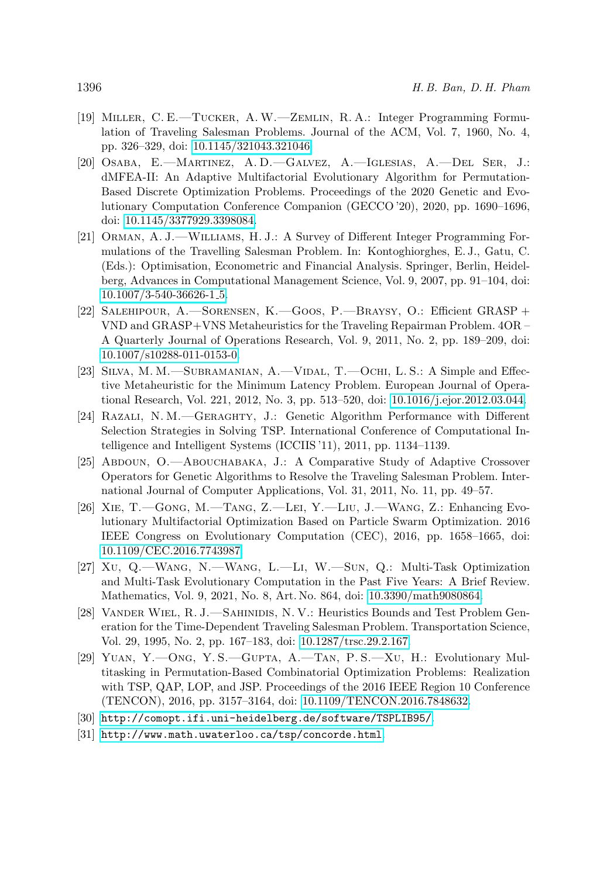- <span id="page-26-3"></span>[19] Miller, C. E.—Tucker, A.W.—Zemlin, R. A.: Integer Programming Formulation of Traveling Salesman Problems. Journal of the ACM, Vol. 7, 1960, No. 4, pp. 326–329, doi: [10.1145/321043.321046.](https://doi.org/10.1145/321043.321046)
- <span id="page-26-6"></span>[20] Osaba, E.—Martinez, A. D.—Galvez, A.—Iglesias, A.—Del Ser, J.: dMFEA-II: An Adaptive Multifactorial Evolutionary Algorithm for Permutation-Based Discrete Optimization Problems. Proceedings of the 2020 Genetic and Evolutionary Computation Conference Companion (GECCO '20), 2020, pp. 1690–1696, doi: [10.1145/3377929.3398084.](https://doi.org/10.1145/3377929.3398084)
- [21] Orman, A. J.—Williams, H. J.: A Survey of Different Integer Programming Formulations of the Travelling Salesman Problem. In: Kontoghiorghes, E. J., Gatu, C. (Eds.): Optimisation, Econometric and Financial Analysis. Springer, Berlin, Heidelberg, Advances in Computational Management Science, Vol. 9, 2007, pp. 91–104, doi: [10.1007/3-540-36626-1](https://doi.org/10.1007/3-540-36626-1_5) 5.
- <span id="page-26-4"></span>[22] Salehipour, A.—Sorensen, K.—Goos, P.—Braysy, O.: Efficient GRASP + VND and GRASP+VNS Metaheuristics for the Traveling Repairman Problem. 4OR – A Quarterly Journal of Operations Research, Vol. 9, 2011, No. 2, pp. 189–209, doi: [10.1007/s10288-011-0153-0.](https://doi.org/10.1007/s10288-011-0153-0)
- <span id="page-26-5"></span>[23] Silva, M. M.—Subramanian, A.—Vidal, T.—Ochi, L. S.: A Simple and Effective Metaheuristic for the Minimum Latency Problem. European Journal of Operational Research, Vol. 221, 2012, No. 3, pp. 513–520, doi: [10.1016/j.ejor.2012.03.044.](https://doi.org/10.1016/j.ejor.2012.03.044)
- <span id="page-26-8"></span>[24] Razali, N. M.—Geraghty, J.: Genetic Algorithm Performance with Different Selection Strategies in Solving TSP. International Conference of Computational Intelligence and Intelligent Systems (ICCIIS '11), 2011, pp. 1134–1139.
- <span id="page-26-9"></span>[25] Abdoun, O.—Abouchabaka, J.: A Comparative Study of Adaptive Crossover Operators for Genetic Algorithms to Resolve the Traveling Salesman Problem. International Journal of Computer Applications, Vol. 31, 2011, No. 11, pp. 49–57.
- <span id="page-26-0"></span>[26] Xie, T.—Gong, M.—Tang, Z.—Lei, Y.—Liu, J.—Wang, Z.: Enhancing Evolutionary Multifactorial Optimization Based on Particle Swarm Optimization. 2016 IEEE Congress on Evolutionary Computation (CEC), 2016, pp. 1658–1665, doi: [10.1109/CEC.2016.7743987.](https://doi.org/10.1109/CEC.2016.7743987)
- <span id="page-26-1"></span>[27] Xu, Q.—Wang, N.—Wang, L.—Li, W.—Sun, Q.: Multi-Task Optimization and Multi-Task Evolutionary Computation in the Past Five Years: A Brief Review. Mathematics, Vol. 9, 2021, No. 8, Art. No. 864, doi: [10.3390/math9080864.](https://doi.org/10.3390/math9080864)
- <span id="page-26-10"></span>[28] VANDER WIEL, R. J.—SAHINIDIS, N. V.: Heuristics Bounds and Test Problem Generation for the Time-Dependent Traveling Salesman Problem. Transportation Science, Vol. 29, 1995, No. 2, pp. 167–183, doi: [10.1287/trsc.29.2.167.](https://doi.org/10.1287/trsc.29.2.167)
- <span id="page-26-2"></span>[29] Yuan, Y.—Ong, Y. S.—Gupta, A.—Tan, P. S.—Xu, H.: Evolutionary Multitasking in Permutation-Based Combinatorial Optimization Problems: Realization with TSP, QAP, LOP, and JSP. Proceedings of the 2016 IEEE Region 10 Conference (TENCON), 2016, pp. 3157–3164, doi: [10.1109/TENCON.2016.7848632.](https://doi.org/10.1109/TENCON.2016.7848632)
- <span id="page-26-7"></span>[30] <http://comopt.ifi.uni-heidelberg.de/software/TSPLIB95/>.
- <span id="page-26-11"></span>[31] <http://www.math.uwaterloo.ca/tsp/concorde.html>.